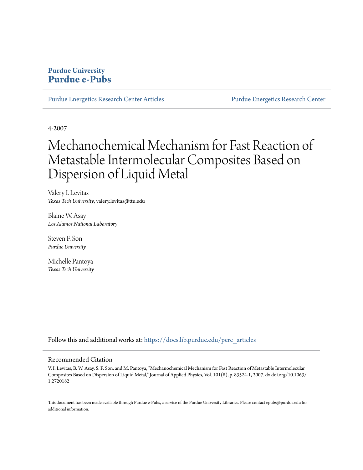# **Purdue University [Purdue e-Pubs](https://docs.lib.purdue.edu?utm_source=docs.lib.purdue.edu%2Fperc_articles%2F15&utm_medium=PDF&utm_campaign=PDFCoverPages)**

[Purdue Energetics Research Center Articles](https://docs.lib.purdue.edu/perc_articles?utm_source=docs.lib.purdue.edu%2Fperc_articles%2F15&utm_medium=PDF&utm_campaign=PDFCoverPages) [Purdue Energetics Research Center](https://docs.lib.purdue.edu/perc?utm_source=docs.lib.purdue.edu%2Fperc_articles%2F15&utm_medium=PDF&utm_campaign=PDFCoverPages)

4-2007

# Mechanochemical Mechanism for Fast Reaction of Metastable Intermolecular Composites Based on Dispersion of Liquid Metal

Valery I. Levitas *Texas Tech University*, valery.levitas@ttu.edu

Blaine W. Asay *Los Alamos National Laboratory*

Steven F. Son *Purdue University*

Michelle Pantoya *Texas Tech University*

Follow this and additional works at: [https://docs.lib.purdue.edu/perc\\_articles](https://docs.lib.purdue.edu/perc_articles?utm_source=docs.lib.purdue.edu%2Fperc_articles%2F15&utm_medium=PDF&utm_campaign=PDFCoverPages)

# Recommended Citation

V. I. Levitas, B. W. Asay, S. F. Son, and M. Pantoya, "Mechanochemical Mechanism for Fast Reaction of Metastable Intermolecular Composites Based on Dispersion of Liquid Metal," Journal of Applied Physics, Vol. 101(8), p. 83524-1, 2007. dx.doi.org/10.1063/ 1.2720182

This document has been made available through Purdue e-Pubs, a service of the Purdue University Libraries. Please contact epubs@purdue.edu for additional information.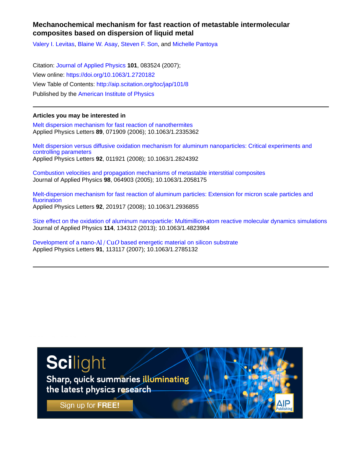# **Mechanochemical mechanism for fast reaction of metastable intermolecular composites based on dispersion of liquid metal**

[Valery I. Levitas,](http://aip.scitation.org/author/Levitas%2C+Valery+I) [Blaine W. Asay](http://aip.scitation.org/author/Asay%2C+Blaine+W), [Steven F. Son](http://aip.scitation.org/author/Son%2C+Steven+F), and [Michelle Pantoya](http://aip.scitation.org/author/Pantoya%2C+Michelle)

Citation: [Journal of Applied Physics](/loi/jap) **101**, 083524 (2007); View online: <https://doi.org/10.1063/1.2720182> View Table of Contents: <http://aip.scitation.org/toc/jap/101/8> Published by the [American Institute of Physics](http://aip.scitation.org/publisher/)

# **Articles you may be interested in**

[Melt dispersion mechanism for fast reaction of nanothermites](http://aip.scitation.org/doi/abs/10.1063/1.2335362) Applied Physics Letters **89**, 071909 (2006); 10.1063/1.2335362

[Melt dispersion versus diffusive oxidation mechanism for aluminum nanoparticles: Critical experiments and](http://aip.scitation.org/doi/abs/10.1063/1.2824392) [controlling parameters](http://aip.scitation.org/doi/abs/10.1063/1.2824392) Applied Physics Letters **92**, 011921 (2008); 10.1063/1.2824392

[Combustion velocities and propagation mechanisms of metastable interstitial composites](http://aip.scitation.org/doi/abs/10.1063/1.2058175) Journal of Applied Physics **98**, 064903 (2005); 10.1063/1.2058175

[Melt-dispersion mechanism for fast reaction of aluminum particles: Extension for micron scale particles and](http://aip.scitation.org/doi/abs/10.1063/1.2936855) [fluorination](http://aip.scitation.org/doi/abs/10.1063/1.2936855) Applied Physics Letters **92**, 201917 (2008); 10.1063/1.2936855

[Size effect on the oxidation of aluminum nanoparticle: Multimillion-atom reactive molecular dynamics simulations](http://aip.scitation.org/doi/abs/10.1063/1.4823984) Journal of Applied Physics **114**, 134312 (2013); 10.1063/1.4823984

Development of a nano- $\text{Al}/\text{CuO}$  based energetic material on silicon substrate Applied Physics Letters **91**, 113117 (2007); 10.1063/1.2785132

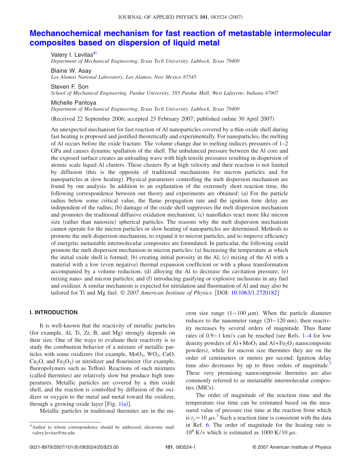# **[Mechanochemical mechanism for fast reaction of metastable intermolecular](http://dx.doi.org/10.1063/1.2720182) [composites based on dispersion of liquid metal](http://dx.doi.org/10.1063/1.2720182)**

Valery I. Levitas<sup>a)</sup> *Department of Mechanical Engineering, Texas Tech University, Lubbock, Texas 79409*

Blaine W. Asay *Los Alamos National Laboratory, Los Alamos, New Mexico 87545*

Steven F. Son

*School of Mechanical Engineering, Purdue University, 585 Purdue Mall, West Lafayette, Indiana 47907*

#### Michelle Pantoya

*Department of Mechanical Engineering, Texas Tech University, Lubbock, Texas 79409*

Received 22 September 2006; accepted 23 February 2007; published online 30 April 2007-

An unexpected mechanism for fast reaction of Al nanoparticles covered by a thin oxide shell during fast heating is proposed and justified theoretically and experimentally. For nanoparticles, the melting of Al occurs before the oxide fracture. The volume change due to melting induces pressures of 1–2 GPa and causes dynamic spallation of the shell. The unbalanced pressure between the Al core and the exposed surface creates an unloading wave with high tensile pressures resulting in dispersion of atomic scale liquid Al clusters. These clusters fly at high velocity and their reaction is not limited by diffusion this is the opposite of traditional mechanisms for micron particles and for nanoparticles at slow heating). Physical parameters controlling the melt dispersion mechanism are found by our analysis. In addition to an explanation of the extremely short reaction time, the following correspondence between our theory and experiments are obtained: (a) For the particle radius below some critical value, the flame propagation rate and the ignition time delay are independent of the radius; (b) damage of the oxide shell suppresses the melt dispersion mechanism and promotes the traditional diffusive oxidation mechanism; (c) nanoflakes react more like micron size (rather than nanosize) spherical particles. The reasons why the melt dispersion mechanism cannot operate for the micron particles or slow heating of nanoparticles are determined. Methods to promote the melt dispersion mechanism, to expand it to micron particles, and to improve efficiency of energetic metastable intermolecular composites are formulated. In particular, the following could promote the melt dispersion mechanism in micron particles: (a) Increasing the temperature at which the initial oxide shell is formed; (b) creating initial porosity in the Al; (c) mixing of the Al with a material with a low (even negative) thermal expansion coefficient or with a phase transformation accompanied by a volume reduction; (d) alloying the Al to decrease the cavitation pressure; (e) mixing nano- and micron particles; and (f) introducing gasifying or explosive inclusions in any fuel and oxidizer. A similar mechanism is expected for nitridation and fluorination of Al and may also be tailored for Ti and Mg fuel. © *2007 American Institute of Physics*. DOI: [10.1063/1.2720182](http://dx.doi.org/10.1063/1.2720182)

## **I. INTRODUCTION**

It is well-known that the reactivity of metallic particles (for example, Al, Ti, Zr, B, and Mg) strongly depends on their size. One of the ways to evaluate their reactivity is to study the combustion behavior of a mixture of metallic particles with some oxidizers (for example,  $Mo_{3}$ ,  $WO_{3}$ ,  $CuO$ ,  $Cu<sub>2</sub>O$ , and  $Fe<sub>2</sub>O<sub>3</sub>$ ) or nitridizer and flourinizer (for example, fluoropolymers such as Teflon). Reactions of such mixtures (called thermites) are relatively slow but produce high temperatures. Metallic particles are covered by a thin oxide shell, and the reaction is controlled by diffusion of the oxidizer or oxygen to the metal and metal toward the oxidizer, through a growing oxide layer [Fig.  $1(a)$  $1(a)$ ].

Metallic particles in traditional thermites are in the mi-

cron size range  $(1 - 100 \mu m)$ . When the particle diameter reduces to the nanometer range (20-120 nm), their reactivity increases by several orders of magnitude. Thus flame rates of 0.9−1 km/s can be reached (see Refs. [1–](#page-20-0)[4](#page-20-1) for low density powders of  $Al+MoO<sub>3</sub>$  and  $Al+Fe<sub>2</sub>O<sub>3</sub>$  nanocomposite powders), while for micron size thermites they are on the order of centimeters or meters per second. Ignition delay time also decreases by up to three orders of magnitude. $\overline{5}$ These very promising nanocomposite thermites are also commonly referred to as metastable intermolecular composites (MICs).

The order of magnitude of the reaction time and the temperature rise time can be estimated based on the measured value of pressure rise time at the reaction front which is  $t_f \approx 10 \mu s^3$  $t_f \approx 10 \mu s^3$ . Such a reaction time is consistent with the data in Ref. [6.](#page-20-4) The order of magnitude for the heating rate is  $10^8$  K/s which is estimated as 1000 K/10  $\mu$ s.

<span id="page-2-0"></span>a)Author to whom correspondence should be addressed; electronic mail: valery.levitas@ttu.edu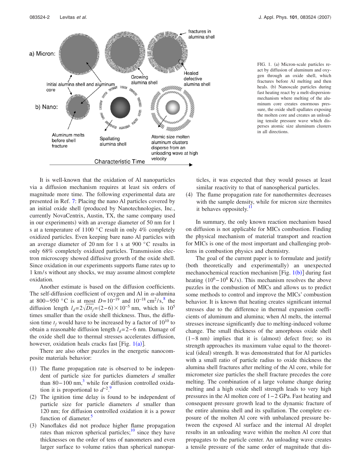

<span id="page-3-0"></span>

It is well-known that the oxidation of Al nanoparticles via a diffusion mechanism requires at least six orders of magnitude more time. The following experimental data are presented in Ref. [7:](#page-20-5) Placing the nano Al particles covered by an initial oxide shell (produced by Nanotechnologies, Inc., currently NovaCentrix, Austin, TX, the same company used in our experiments) with an average diameter of 50 nm for 1 s at a temperature of 1100 °C result in only 4% completely oxidized particles. Even keeping bare nano Al particles with an average diameter of 20 nm for 1 s at 900 °C results in only 68% completely oxidized particles. Transmission electron microscopy showed diffusive growth of the oxide shell. Since oxidation in our experiments supports flame rates up to 1 km/ s without any shocks, we may assume almost complete oxidation.

Another estimate is based on the diffusion coefficients. The self-diffusion coefficient of oxygen and Al in  $\alpha$ -alumina at 800−950 °C is at most  $D=10^{-19}$  and  $10^{-18}$  cm<sup>2</sup>/s,<sup>8</sup> the diffusion length  $l_d = 2\sqrt{Dt_f} = (2-6) \times 10^{-5}$  nm, which is 10<sup>5</sup> times smaller than the oxide shell thickness. Thus, the diffusion time  $t_f$  would have to be increased by a factor of  $10^{10}$  to obtain a reasonable diffusion length *l<sub>d</sub>*= 2−6 nm. Damage of the oxide shell due to thermal stresses accelerates diffusion, however, oxidation heals cracks fast [Fig.  $1(a)$  $1(a)$ ].

There are also other puzzles in the energetic nanocomposite materials behavior:

- (1) The flame propagation rate is observed to be independent of particle size for particles diameters *d* smaller than 80−100 nm,<sup>3</sup> while for diffusion controlled oxidation it is proportional to  $d^{-2}$ .<sup>[9](#page-20-7)</sup>
- (2) The ignition time delay is found to be independent of particle size for particle diameters *d* smaller than 120 nm; for diffusion controlled oxidation it is a power function of diameter.<sup>5</sup>
- (3) Nanoflakes did not produce higher flame propagation rates than micron spherical particles; $\frac{10}{10}$  since they have thicknesses on the order of tens of nanometers and even larger surface to volume ratios than spherical nanopar-

FIG. 1. (a) Micron-scale particles react by diffusion of aluminum and oxygen through an oxide shell, which fractures before Al melting and then heals. (b) Nanoscale particles during fast heating react by a melt-dispersionmechanism where melting of the aluminum core creates enormous pressure, the oxide shell spallates exposing the molten core and creates an unloading tensile pressure wave which disperses atomic size aluminum clusters in all directions.

ticles, it was expected that they would posses at least similar reactivity to that of nanospherical particles.

(4) The flame propagation rate for nanothermites decreases with the sample density, while for micron size thermites it behaves oppositely.<sup>11</sup>

In summary, the only known reaction mechanism based on diffusion is not applicable for MICs combustion. Finding the physical mechanism of material transport and reaction for MICs is one of the most important and challenging problems in combustion physics and chemistry.

The goal of the current paper is to formulate and justify (both theoretically and experimentally) an unexpected mechanochemical reaction mechanism [Fig.  $1(b)$  $1(b)$ ] during fast heating  $(10^6 - 10^8 \text{ K/s})$ . This mechanism resolves the above puzzles in the combustion of MICs and allows us to predict some methods to control and improve the MICs' combustion behavior. It is known that heating creates significant internal stresses due to the difference in thermal expansion coefficients of aluminum and alumina; when Al melts, the internal stresses increase significantly due to melting-induced volume change. The small thickness of the amorphous oxide shell  $(1-8)$  nm) implies that it is (almost) defect free; so its strength approaches its maximum value equal to the theoretical (ideal) strength. It was demonstrated that for Al particles with a small ratio of particle radius to oxide thickness the alumina shell fractures after melting of the Al core, while for micrometer size particles the shell fracture precedes the core melting. The combination of a large volume change during melting and a high oxide shell strength leads to very high pressures in the Al molten core of 1− 2 GPa. Fast heating and consequent pressure growth lead to the dynamic fracture of the entire alumina shell and its spallation. The complete exposure of the molten Al core with unbalanced pressure between the exposed Al surface and the internal Al droplet results in an unloading wave within the molten Al core that propagates to the particle center. An unloading wave creates a tensile pressure of the same order of magnitude that dis-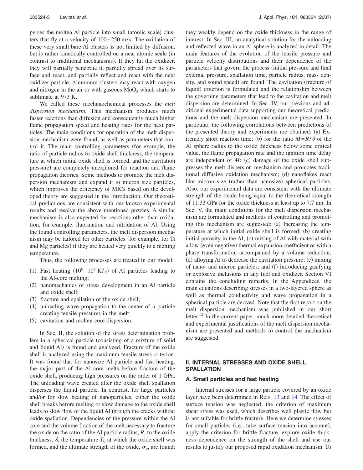perses the molten Al particle into small (atomic scale) clusters that fly at a velocity of 100− 250 m/ s. The oxidation of these very small bare Al clusters is not limited by diffusion, but is rather kinetically controlled on a near atomic scale (in contrast to traditional mechanisms). If they hit the oxidizer, they will partially penetrate it, partially spread over its surface and react, and partially reflect and react with the next oxidizer particle. Aluminum clusters may react with oxygen and nitrogen in the air or with gaseous  $MoO<sub>3</sub>$  which starts to sublimate at 973 K.

We called these mechanochemical processes the *melt dispersion mechanism*. This mechanism produces much faster reactions than diffusion and consequently much higher flame propagation speed and heating rates for the next particles. The main conditions for operation of the melt dispersion mechanism were found, as well as parameters that control it. The main controlling parameters (for example, the ratio of particle radius to oxide shell thickness, the temperature at which initial oxide shell is formed, and the cavitation pressure) are completely unexplored for reaction and flame propagation theories. Some methods to promote the melt dispersion mechanism and expand it to micron size particles, which improves the efficiency of MICs based on the developed theory are suggested in the Introduction. Our theoretical predictions are consistent with our known experimental results and resolve the above mentioned puzzles. A similar mechanism is also expected for reactions other than oxidation, for example, fluorination and nitridation of Al. Using the found controlling parameters, the melt dispersion mechanism may be tailored for other particles (for example, for Ti and Mg particles) if they are heated very quickly to a melting temperature.

Thus, the following processes are treated in our model:

- (1) Fast heating  $(10^6 10^8 \text{ K/s})$  of Al particles leading to the Al-core melting;
- (2) nanomechanics of stress development in an Al particle and oxide shell;
- (3) fracture and spallation of the oxide shell;
- (4) unloading wave propagation to the center of a particle creating tensile pressures in the melt;
- (5) cavitation and molten core dispersion.

In Sec. II, the solution of the stress determination problem in a spherical particle (consisting of a mixture of solid and liquid Al) is found and analyzed. Fracture of the oxide shell is analyzed using the maximum tensile stress criterion. It was found that for nanosize Al particle and fast heating, the major part of the Al core melts before fracture of the oxide shell, producing high pressures on the order of 1 GPa. The unloading wave created after the oxide shell spallation disperses the liquid particle. In contrast, for large particles and/or for slow heating of nanoparticles, either the oxide shell breaks before melting or slow damage to the oxide shell leads to slow flow of the liquid Al through the cracks without oxide spallation. Dependencies of the pressure within the Al core and the volume fraction of the melt necessary to fracture the oxide on the ratio of the Al particle radius, *R*, to the oxide thickness,  $\delta$ , the temperature  $T_0$  at which the oxide shell was formed, and the ultimate strength of the oxide,  $\sigma_u$ , are found; they weakly depend on the oxide thickness in the range of interest. In Sec. III, an analytical solution for the unloading and reflected wave in an Al sphere is analyzed in detail. The main features of the evolution of the tensile pressure and particle velocity distributions and their dependence of the parameters that govern the process (initial pressure and final external pressure, spallation time, particle radius, mass density, and sound speed) are found. The cavitation (fracture of liquid) criterion is formulated and the relationship between the governing parameters that lead to the cavitation and melt dispersion are determined. In Sec. IV, our previous and additional experimental data supporting our theoretical predictions and the melt dispersion mechanism are presented. In particular, the following correlations between predictions of the presented theory and experiments are obtained: (a) Extremely short reaction time; (b) for the ratio  $M = R/\delta$  of the Al sphere radius to the oxide thickness below some critical value, the flame propagation rate and the ignition time delay are independent of  $M$ ; (c) damage of the oxide shell suppresses the melt dispersion mechanism and promotes traditional diffusive oxidation mechanism; (d) nanoflakes react like micron size (rather than nanosize) spherical particles. Also, our experimental data are consistent with the ultimate strength of the oxide being equal to the theoretical strength of 11.33 GPa for the oxide thickness at least up to 7.7 nm. In Sec. V, the main conditions for the melt dispersion mechanism are formulated and methods of controlling and promoting this mechanism are suggested: (a) Increasing the temperature at which initial oxide shell is formed; (b) creating initial porosity in the Al; (c) mixing of Al with material with a low (even negative) thermal expansion coefficient or with a phase transformation accompanied by a volume reduction; (d) alloying Al to decrease the cavitation pressure; (e) mixing of nano- and micron particles; and (f) introducing gasifying or explosive inclusions in any fuel and oxidizer. Section VI contains the concluding remarks. In the Appendices, the main equations describing stresses in a two-layered sphere as well as thermal conductivity and wave propagation in a spherical particle are derived. Note that the first report on the melt dispersion mechanism was published in our short letter.<sup>12</sup> In the current paper, much more detailed theoretical and experimental justifications of the melt dispersion mechanism are presented and methods to control the mechanism are suggested.

# **II. INTERNAL STRESSES AND OXIDE SHELL SPALLATION**

#### **A. Small particles and fast heating**

Internal stresses for a large particle covered by an oxide layer have been determined in Refs. [13](#page-21-3) and [14.](#page-21-4) The effect of surface tension was neglected; the criterion of maximum shear stress was used, which describes well plastic flow but is not suitable for brittle fracture. Here we determine stresses for small particles (i.e., take surface tension into account), apply the criterion for brittle fracture, explore oxide thickness dependence on the strength of the shell and use our results to justify our proposed rapid oxidation mechanism. To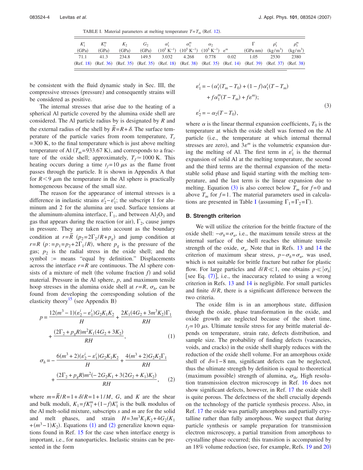TABLE I. Material parameters at melting temperature  $T = T_m$  (Ref. [12](#page-21-2)).

<span id="page-5-3"></span>

|       |       |       | $K_1^s$ $K_1^m$ $K_2$ $G_2$ $\alpha_1^s$ $\alpha_1^m$ $\alpha_2$                              |  |                                                                                                               | $\Gamma$ $\rho_1^s$ $\rho_1^m$ |  |
|-------|-------|-------|-----------------------------------------------------------------------------------------------|--|---------------------------------------------------------------------------------------------------------------|--------------------------------|--|
| (GPa) | (GPa) | (GPa) | (GPa) $(10^5 \text{ K}^{-1})$ $(10^5 \text{ K}^{-1})$ $(10^5 \text{ K}^{-1})$ $\varepsilon^m$ |  | (GPa nm) $(kg/m^3)$ $(kg/m^3)$                                                                                |                                |  |
|       |       |       |                                                                                               |  | 71.1 41.3 234.8 149.5 3.032 4.268 0.778 0.02 1.05 2530 2380                                                   |                                |  |
|       |       |       |                                                                                               |  | (Ref. 18) (Ref. 36) (Ref. 35) (Ref. 35) (Ref. 18) (Ref. 38) (Ref. 35) (Ref. 14) (Ref. 39) (Ref. 37) (Ref. 38) |                                |  |

be consistent with the fluid dynamic study in Sec. III, the compressive stresses (pressure) and consequently strains will be considered as positive.

The internal stresses that arise due to the heating of a spherical Al particle covered by the alumina oxide shell are considered. The Al particle radius by is designated by *R* and the external radius of the shell by  $\widetilde{R} = R + \delta$ . The surface temperature of the particle varies from room temperature,  $T_r$  $= 300$  K, to the final temperature which is just above melting temperature of Al  $(T_m=933.67 \text{ K})$ , and corresponds to a fracture of the oxide shell; approximately,  $T_f \approx 1000$  K. This heating occurs during a time  $t_f = 10 \mu s$  as the flame front passes through the particle. It is shown in Appendix A that for  $R < 9$   $\mu$ m the temperature in the Al sphere is practically homogeneous because of the small size.

The reason for the appearance of internal stresses is a difference in inelastic strains  $\varepsilon_2^i - \varepsilon_1^i$ ; the subscript 1 for aluminum and 2 for the alumina are used. Surface tensions at the aluminum-alumina interface,  $\Gamma_1$ , and between Al<sub>2</sub>O<sub>3</sub> and gas that appears during the reaction (or air),  $\Gamma_2$ , cause jumps in pressure. They are taken into account as the boundary condition at  $r = \overline{R}$  ( $p_2 = 2\Gamma_2/R + p_g$ ) and jump condition at  $r = R$  ( $p := p_1 = p_2 + 2\Gamma_1/R$ ), where  $p_g$  is the pressure of the gas;  $p_2$  is the radial stress in the oxide shell; and the symbol := means "equal by definition." Displacements across the interface  $r = R$  are continuous. The Al sphere consists of a mixture of melt (the volume fraction  $f$ ) and solid material. Pressure in the Al sphere, *p*, and maximum tensile hoop stresses in the alumina oxide shell at  $r=R$ ,  $\sigma_h$ , can be found from developing the corresponding solution of the elasticity theory<sup>15</sup> (see Appendix B)

<span id="page-5-0"></span>
$$
p = \frac{12(m^3 - 1)(\varepsilon_2^i - \varepsilon_1^i)G_2K_1K_2}{H} + \frac{2K_1(4G_2 + 3m^3K_2)\Gamma_1}{RH} + \frac{(2\Gamma_2 + p_gR)m^2K_1(4G_2 + 3K_2)}{RH},
$$
\n(1)

<span id="page-5-1"></span>
$$
\sigma_h = -\frac{6(m^3 + 2)(\varepsilon_2^i - \varepsilon_1^i)G_2K_1K_2}{H} + \frac{4(m^3 + 2)G_2K_2\Gamma_1}{RH} + \frac{(2\Gamma_2 + p_gR)m^2(-2G_2K_1 + 3(2G_2 + K_1)K_2)}{RH},
$$
 (2)

where  $m = \frac{\overline{R}}{R} = 1 + \frac{\delta}{R} = 1 + \frac{1}{M}$ , *G*, and *K* are the shear and bulk moduli,  $K_1 = fK_1^m + (1 - f)K_1^s$  is the bulk modulus of the Al melt-solid mixture, subscripts *s* and *m* are for the solid and melt phases, and strain  $H = 3m^3 K_1 K_2 + 4G_2(K_1)$  $+(m^3-1)K_2$  $+(m^3-1)K_2$  $+(m^3-1)K_2$  $+(m^3-1)K_2$ ). Equations (1) and (2) generalize known equations found in Ref. [15](#page-21-5) for the case when interface energy is important, i.e., for nanoparticles. Inelastic strains can be presented in the form

<span id="page-5-2"></span>
$$
\varepsilon_{1}^{i} = -(\alpha_{1}^{s}(T_{m} - T_{0}) + (1 - f)\alpha_{1}^{s}(T - T_{m}) + f\alpha_{1}^{m}(T - T_{m}) + f\varepsilon^{m});
$$
  
\n
$$
\varepsilon_{2}^{i} = -\alpha_{2}(T - T_{0}),
$$
\n(3)

where  $\alpha$  is the linear thermal expansion coefficients,  $T_0$  is the temperature at which the oxide shell was formed on the Al particle (i.e., the temperature at which internal thermal stresses are zero), and  $3\varepsilon^{m}$  is the volumetric expansion during the melting of Al. The first term in  $\varepsilon_1^i$  is the thermal expansion of solid Al at the melting temperature, the second and the third terms are the thermal expansion of the metastable solid phase and liquid starting with the melting temperature, and the last term is the linear expansion due to melting. Equation ([3](#page-5-2)) is also correct below  $T_m$  for  $f=0$  and above  $T_m$  for  $f=1$ . The material parameters used in calcula-tions are presented in Table [I](#page-5-3) (assuming  $\Gamma_1 = \Gamma_2 = \Gamma$ ).

## **B. Strength criterion**

We will utilize the criterion for the brittle fracture of the oxide shell:  $-σ<sub>h</sub> = σ<sub>u</sub>$ , i.e., the maximum tensile stress at the internal surface of the shell reaches the ultimate tensile strength of the oxide,  $\sigma_u$ . Note that in Refs. [13](#page-21-3) and [14](#page-21-4) the criterion of maximum shear stress,  $p - \sigma_h = \sigma_u$ , was used, which is not suitable for brittle fracture but rather for plastic flow. For large particles and  $\delta/R \ll 1$ , one obtains  $p \ll |\sigma_h|$ [see Eq.  $(7)$  $(7)$  $(7)$ ], i.e., the inaccuracy related to using a wrong criterion in Refs. [13](#page-21-3) and [14](#page-21-4) is negligible. For small particles and finite  $\delta/R$ , there is a significant difference between the two criteria.

The oxide film is in an amorphous state, diffusion through the oxide, phase transformation in the oxide, and oxide growth are neglected because of the short time,  $t_f$ =10  $\mu$ s. Ultimate tensile stress for any brittle material depends on temperature, strain rate, defects distribution, and sample size. The probability of finding defects (vacancies, voids, and cracks) in the oxide shell sharply reduces with the reduction of the oxide shell volume. For an amorphous oxide shell of  $\delta = 1-8$  nm, significant defects can be neglected, thus the ultimate strength by definition is equal to theoretical (maximum possible) strength of alumina,  $\sigma_{\text{th}}$ . High resolution transmission electron microscopy in Ref. [16](#page-21-6) does not show significant defects, however, in Ref. [17](#page-21-7) the oxide shell is quite porous. The defectness of the shell crucially depends on the technology of the particle synthesis process. Also, in Ref. [17](#page-21-7) the oxide was partially amorphous and partially crystalline rather than fully amorphous. We suspect that during particle synthesis or sample preparation for transmission electron microscopy, a partial transition from amorphous to crystalline phase occurred; this transition is accompanied by an 18% volume reduction (see, for example, Refs. [19](#page-21-8) and [20](#page-21-9))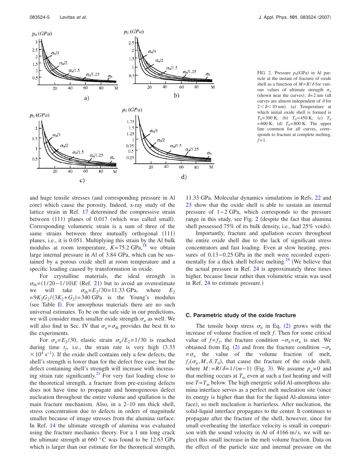<span id="page-6-0"></span>

FIG. 2. Pressure  $p_0$ (GPa) in Al particle at the instant of fracture of oxide shell as a function of  $M = R / \delta$  for various values of ultimate strength  $\sigma$ . (shown near the curves);  $\delta = 2$  nm (all curves are almost independent of  $\delta$  for  $2 < \delta < 10$  nm). (a) Temperature at which initial oxide shell is formed is  $T_0$ = 300 K; (b)  $T_0$ = 450 K; (c)  $T_0$  $= 600 \text{ K}$ ; (d)  $T_0 = 800 \text{ K}$ . The upper line common for all curves, corresponds to fracture at complete melting,  $f = 1$ .

and huge tensile stresses (and corresponding pressure in Al core) which cause the porosity. Indeed, x-ray study of the lattice strain in Ref. [17](#page-21-7) determined the compressive strain between (111) planes of 0.017 (which was called small). Corresponding volumetric strain is a sum of three of the same strains between three mutually orthogonal (111) planes, i.e., it is 0.051. Multiplying this strain by the Al bulk modulus at room temperature,  $K=75.2$  GPa,<sup>18</sup> we obtain large internal pressure in Al of 3.84 GPa, which can be sustained by a porous oxide shell at room temperature and a specific loading caused by transformation in oxide.

For crystalline materials, the ideal strength is  $\sigma_{\text{th}}$ =(1/20 – 1/10)*E* (Ref. [21](#page-21-16)) but to avoid an overestimate we will take  $\sigma_{\text{th}}=E_2 / 30= 11.33 \text{ GPa}$ , where  $E_2$  $= 9K_2G_2/(3K_2+G_2) = 340$  GPa is the Young's modulus (see Table [I](#page-5-3)). For amorphous materials there are no such universal estimates. To be on the safe side in our predictions, we will consider much smaller oxide strength  $\sigma_u$  as well. We will also find in Sec. IV that  $\sigma_u = \sigma_{\text{th}}$  provides the best fit to the experiments.

For  $\sigma_u = E_2 / 30$ , elastic strain  $\sigma_u / E_2 = 1/30$  is reached during time  $t_f$ , i.e., the strain rate is very high  $(3.33)$  $\times$  10<sup>4</sup> s<sup>-1</sup>). If the oxide shell contains only a few defects, the shell's strength is lower than for the defect free case; but the defect containing shell's strength will increase with increasing strain rate significantly[.21](#page-21-16) For very fast loading close to the theoretical strength, a fracture from pre-existing defects does not have time to propagate and homogeneous defect nucleation throughout the entire volume and spallation is the main fracture mechanism. Also, in a 2–10 nm thick shell, stress concentration due to defects in orders of magnitude smaller because of image stresses from the alumina surface. In Ref. [14](#page-21-4) the ultimate strength of alumina was evaluated using the fracture mechanics theory. For a 1 nm long crack the ultimate strength at 660 °C was found to be 12.63 GPa which is larger than our estimate for the theoretical strength,

11.33 GPa. Molecular dynamics simulations in Refs. [22](#page-21-17) and [23](#page-21-18) show that the oxide shell is able to sustain an internal pressure of 1− 2 GPa, which corresponds to the pressure range in this study, see Fig. [2](#page-6-0) (despite the fact that alumina shell possessed 75% of its bulk density, i.e., had 25% voids).

Importantly, fracture and spallation occurs throughout the entire oxide shell due to the lack of significant stress concentrators and fast loading. Even at slow heating, pressures of 0.13−0.25 GPa in the melt were recorded experimentally for a thick shell before melting. $24$  (We believe that the actual pressure in Ref. [24](#page-21-19) is approximately three times higher, because linear rather than volumetric strain was used in Ref. [24](#page-21-19) to estimate pressure.)

#### **C. Parametric study of the oxide fracture**

The tensile hoop stress  $\sigma_h$  in Eq. ([2](#page-5-1)) grows with the increase of volume fraction of melt *f*. Then for some critical value of  $f = f_f$ , the fracture condition  $-\sigma_h = \sigma_u$  is met. We obtained from Eq. ([2](#page-5-1)) and from the fracture condition  $-\sigma_h$  $=\sigma_u$  the value of the volume fraction of melt,  $f_f(\sigma_u, M, \delta, T_0)$ , that cause the fracture of the oxide shell, where  $M = R/\delta = 1/(m-1)$  (Fig. [3](#page-7-0)). We assume  $p_g = 0$  and that melting occurs at  $T_m$  even at such a fast heating and will use  $T=T_m$  below. The high energetic solid Al-amorphous alumina interface serves as a perfect melt nucleation site (since its energy is higher than that for the liquid Al-alumina interface), so melt nucleation is barrierless. After nucleation, the solid-liquid interface propagates to the center. It continues to propagate after the fracture of the shell, however, since for small overheating the interface velocity is small in comparison with the sound velocity in Al of  $4166$  m/s, we will neglect this small increase in the melt volume fraction. Data on the effect of the particle size and internal pressure on the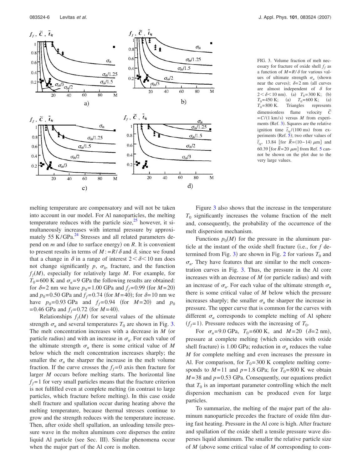<span id="page-7-0"></span>

FIG. 3. Volume fraction of melt necessary for fracture of oxide shell  $f_f$  as a function of  $M = R/\delta$  for various values of ultimate strength  $\sigma_u$  (shown near the curves);  $\delta = 2$  nm (all curves are almost independent of  $\delta$  for  $2 < \delta < 10$  nm). (a)  $T_0 = 300$  K; (b)  $T_0$ = 450 K; (a)  $T_0$ = 600 K; (a)  $T_0$ = 800 K. Triangles represents dimensionless flame velocity  $\tilde{C}$  $= C/(1 \text{ km/s})$  versus *M* from experi-ments (Ref. [3](#page-20-3)). Squares are the relative ignition time  $\tilde{t}_{ig}$  /(100 ms) from experiments (Ref.  $\bar{5}$  $\bar{5}$  $\bar{5}$ ); two other values of  $\tilde{t}_{ig}$ , 13.84 [for  $\tilde{R} = (10-14) \mu m$ ] and 60.39 [for  $\tilde{R} = 20 \ \mu m$ ] from Ref. [5](#page-20-2) cannot be shown on the plot due to the very large values.

melting temperature are compensatory and will not be taken into account in our model. For Al nanoparticles, the melting temperature reduces with the particle size, $25$  however, it simultaneously increases with internal pressure by approximately  $55 \text{ K/GPa}^{24}$  Stresses and all related parameters depend on *m* and (due to surface energy) on *R*. It is convenient to present results in terms of  $M = R/\delta$  and  $\delta$ , since we found that a change in  $\delta$  in a range of interest  $2 < \delta < 10$  nm does not change significantly  $p$ ,  $\sigma_h$ , fracture, and the function *ffM*-, especially for relatively large *M*. For example, for  $T_0$ = 600 K and  $\sigma_u$ =9 GPa the following results are obtained: for  $\delta = 2$  nm we have  $p_0 = 1.00$  GPa and  $f_f = 0.99$  (for  $M = 20$ ) and  $p_0 = 0.50$  GPa and  $f_f = 0.74$  (for  $M = 40$ ); for  $\delta = 10$  nm we have  $p_0 = 0.93$  GPa and  $f_f = 0.94$  (for  $M = 20$ ) and  $p_0$  $= 0.46$  GPa and  $f_f = 0.72$  (for  $M = 40$ ).

Relationships  $f_f(M)$  for several values of the ultimate strength  $\sigma_u$  and several temperatures  $T_0$  are shown in Fig. [3.](#page-7-0) The melt concentration increases with a decrease in *M* (or particle radius) and with an increase in  $\sigma_u$ . For each value of the ultimate strength  $\sigma_u$  there is some critical value of *M* below which the melt concentration increases sharply; the smaller the  $\sigma_u$  the sharper the increase in the melt volume fraction. If the curve crosses the  $f_f = 0$  axis then fracture for larger *M* occurs before melting starts. The horizontal line  $f_f = 1$  for very small particles means that the fracture criterion is not fulfilled even at complete melting (in contrast to large particles, which fracture before melting). In this case oxide shell fracture and spallation occur during heating above the melting temperature, because thermal stresses continue to grow and the strength reduces with the temperature increase. Then, after oxide shell spallation, an unloading tensile pressure wave in the molten aluminum core disperses the entire liquid Al particle (see Sec. III). Similar phenomena occur when the major part of the Al core is molten.

Figure [3](#page-7-0) also shows that the increase in the temperature  $T_0$  significantly increases the volume fraction of the melt and, consequently, the probability of the occurrence of the melt dispersion mechanism.

Functions  $p_0(M)$  for the pressure in the aluminum particle at the instant of the oxide shell fracture (i.e., for  $f$  de-termined from Fig. [3](#page-7-0)) are shown in Fig. [2](#page-6-0) for various  $T_0$  and  $\sigma_{\mu}$ . They have features that are similar to the melt concentration curves in Fig. [3.](#page-7-0) Thus, the pressure in the Al core increases with an decrease of  $M$  (or particle radius) and with an increase of  $\sigma_u$ . For each value of the ultimate strength  $\sigma_u$ there is some critical value of *M* below which the pressure increases sharply; the smaller  $\sigma_u$  the sharper the increase in pressure. The upper curve that is common for the curves with different  $\sigma_u$  corresponds to complete melting of Al sphere  $(f_f=1)$ . Pressure reduces with the increasing of  $T_0$ .

For  $\sigma_u = 9.0 \text{ GPa}$ ,  $T_0 = 600 \text{ K}$ , and  $M = 20 \text{ } (\delta = 2 \text{ nm})$ , pressure at complete melting (which coincides with oxide shell fracture) is 1.00 GPa; reduction in  $\sigma_u$  reduces the value *M* for complete melting and even increases the pressure in Al. For comparison, for  $T_0 = 300$  K complete melting corresponds to  $M=11$  and  $p=1.8$  GPa; for  $T_0=800$  K we obtain  $M = 38$  and  $p = 0.53$  GPa. Consequently, our equations predict that  $T_0$  is an important parameter controlling which the melt dispersion mechanism can be produced even for large particles.

To summarize, the melting of the major part of the aluminum nanoparticle precedes the fracture of oxide film during fast heating. Pressure in the Al core is high. After fracture and spallation of the oxide shell a tensile pressure wave disperses liquid aluminum. The smaller the relative particle size of *M* (above some critical value of *M* corresponding to com-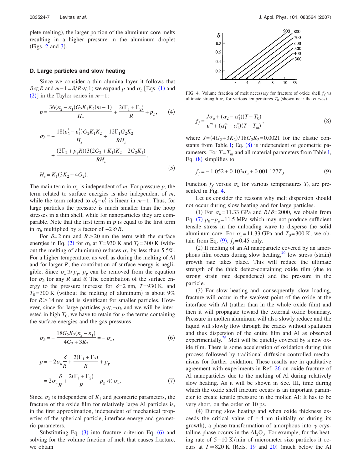plete melting), the larger portion of the aluminum core melts resulting in a higher pressure in the aluminum droplet (Figs.  $2$  and  $3$ ).

#### **D. Large particles and slow heating**

Since we consider a thin alumina layer it follows that  $\delta \ll R$  and *m*−[1](#page-5-0)= $\delta/R \ll 1$ ; we expand *p* and  $\sigma_h$  [Eqs. (1) and  $(2)$  $(2)$  $(2)$ ] in the Taylor series in *m*−1:

$$
p = \frac{36(\varepsilon_2^i - \varepsilon_1^i)G_2K_1K_2(m-1)}{H_s} + \frac{2(\Gamma_1 + \Gamma_2)}{R} + p_g, \qquad (4)
$$
  

$$
\sigma_h = -\frac{18(\varepsilon_2^i - \varepsilon_1^i)G_2K_1K_2}{H_s} + \frac{12\Gamma_1G_2K_2}{RH_s}
$$

$$
+ \frac{(2\Gamma_2 + p_gR)(3(2G_2 + K_1)K_2 - 2G_2K_1)}{RH_s},
$$

$$
H_s = K_1(3K_2 + 4G_2).
$$
 (5)

The main term in  $\sigma_h$  is independent of *m*. For pressure *p*, the term related to surface energies is also independent of *m*, while the term related to  $\varepsilon_2^i - \varepsilon_1^i$  is linear in *m*−1. Thus, for large particles the pressure is much smaller than the hoop stresses in a thin shell, while for nanoparticles they are comparable. Note that the first term in *p* is equal to the first term in  $\sigma_h$  multiplied by a factor of  $-2\delta/R$ .

For  $\delta = 2$  nm and  $R > 20$  nm the term with the surface energies in Eq. ([2](#page-5-1)) for  $\sigma_h$  at  $T=930$  K and  $T_0=300$  K (without the melting of aluminum) reduces  $\sigma_h$  by less than 5.5%. For a higher temperature, as well as during the melting of Al and for larger *R*, the contribution of surface energy is negligible. Since  $\sigma_u \gg p_g$ ,  $p_g$  can be removed from the equation for  $\sigma_h$  for any *R* and  $\delta$ . The contribution of the surface energy to the pressure increase for  $\delta = 2$  nm,  $T = 930$  K, and  $T_0$ =300 K (without the melting of aluminum) is about 9% for  $R > 14$  nm and is significant for smaller particles. However, since for large particles  $p \ll -\sigma_h$  and we will be interested in high  $T_0$ , we have to retain for  $p$  the terms containing the surface energies and the gas pressures

<span id="page-8-1"></span>
$$
\sigma_h = -\frac{18G_2K_2(\varepsilon_2^i - \varepsilon_1^i)}{4G_2 + 3K_2} = -\sigma_u,\tag{6}
$$

<span id="page-8-0"></span>
$$
p = -2\sigma_h \frac{\delta}{R} + \frac{2(\Gamma_1 + \Gamma_2)}{R} + p_g
$$
  
=  $2\sigma_u \frac{\delta}{R} + \frac{2(\Gamma_1 + \Gamma_2)}{R} + p_g \ll \sigma_u.$  (7)

Since  $\sigma_h$  is independent of  $K_1$  and geometric parameters, the fracture of the oxide film for relatively large Al particles is, in the first approximation, independent of mechanical properties of the spherical particle, interface energy and geometric parameters.

Substituting Eq.  $(3)$  $(3)$  $(3)$  into fracture criterion Eq.  $(6)$  $(6)$  $(6)$  and solving for the volume fraction of melt that causes fracture, we obtain

<span id="page-8-3"></span>

FIG. 4. Volume fraction of melt necessary for fracture of oxide shell  $f_f$  vs ultimate strength  $\sigma_u$  for various temperatures  $T_0$  (shown near the curves).

<span id="page-8-2"></span>
$$
f_f = \frac{J\sigma_u + (\alpha_2 - \alpha_1^s)(T - T_0)}{\varepsilon^m + (\alpha_1^m - \alpha_1^s)(T - T_m)},
$$
\n(8)

where  $J = (4G_2 + 3K_2)/18G_2K_2 = 0.0021$  for the elastic con-stants from Table [I;](#page-5-3) Eq.  $(8)$  $(8)$  $(8)$  is independent of geometric parameters. For  $T = T_m$  and all material parameters from Table [I,](#page-5-3) Eq. ([8](#page-8-2)) simplifies to

<span id="page-8-4"></span>
$$
f_f = -1.052 + 0.103\sigma_u + 0.001\ 127T_0. \tag{9}
$$

Function  $f_f$  versus  $\sigma_u$  for various temperatures  $T_0$  are presented in Fig. [4.](#page-8-3)

Let us consider the reasons why melt dispersion should not occur during slow heating and for large particles.

(1) For  $\sigma_u = 11.33$  GPa and  $R/\delta = 2000$ , we obtain from Eq. ([7](#page-8-0))  $p_0 - p_g = 11.5$  MPa which may not produce sufficient tensile stress in the unloading wave to disperse the solid aluminum core. For  $\sigma_u = 11.33$  GPa and  $T_0 = 300$  K, we ob- $\text{tain from Eq. (9), } f_f = 0.45 \text{ only.}$  $\text{tain from Eq. (9), } f_f = 0.45 \text{ only.}$  $\text{tain from Eq. (9), } f_f = 0.45 \text{ only.}$ 

(2) If melting of an Al nanoparticle covered by an amorphous film occurs during slow heating, $26$  low stress (strain) growth rate takes place. This will reduce the ultimate strength of the thick defect-containing oxide film (due to strong strain rate dependence) and the pressure in the particle.

(3) For slow heating and, consequently, slow loading, fracture will occur in the weakest point of the oxide at the interface with Al (rather than in the whole oxide film) and then it will propagate toward the external oxide boundary. Pressure in molten aluminum will also slowly reduce and the liquid will slowly flow through the cracks without spallation and thus dispersion of the entire film and Al as observed experimentally. $26$  Melt will be quickly covered by a new oxide film. There is some acceleration of oxidation during this process followed by traditional diffusion-controlled mechanisms for further oxidation. These results are in qualitative agreement with experiments in Ref. [26](#page-21-21) on oxide fracture of Al nanoparticles due to the melting of Al during relatively slow heating. As it will be shown in Sec. III, time during which the oxide shell fracture occurs is an important parameter to create tensile pressure in the molten Al: It has to be very short, on the order of 10 ps.

(4) During slow heating and when oxide thickness exceeds the critical value of  $\simeq$  4 nm (initially or during its growth), a phase transformation of amorphous into  $\gamma$  crystalline phase occurs in the  $Al_2O_3$ . For example, for the heating rate of 5− 10 K/min of micrometer size particles it occurs at  $T \approx 820$  $T \approx 820$  K (Refs. [19](#page-21-8) and 20) (much below the Al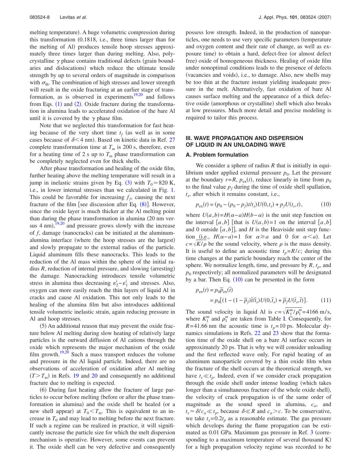melting temperature). A huge volumetric compression during this transformation 0.1818, i.e., three times larger than for the melting of Al) produces tensile hoop stresses approximately three times larger than during melting. Also, polycrystalline  $\gamma$  phase contains traditional defects (grain boundaries and dislocations) which reduce the ultimate tensile strength by up to several orders of magnitude in comparison with  $\sigma_{th}$ . The combination of high stresses and lower strength will result in the oxide fracturing at an earlier stage of trans-formation, as is observed in experiments<sup>19[,20](#page-21-9)</sup> and follows from Eqs.  $(1)$  $(1)$  $(1)$  and  $(2)$  $(2)$  $(2)$ . Oxide fracture during the transformation in alumina leads to accelerated oxidation of the bare Al until it is covered by the  $\gamma$  phase film.

Note that we neglected this transformation for fast heating because of the very short time  $t_f$  (as well as in some cases because of  $\delta$ <4 nm). Based on kinetic data in Ref. [27](#page-21-22) complete transformation time at  $T_m$  is 200 s, therefore, even for a heating time of 2 s up to  $T_m$  phase transformation can be completely neglected even for thick shells.

After phase transformation and healing of the oxide film, further heating above the melting temperature will result in a jump in inelastic strains given by Eq. ([3](#page-5-2)) with  $T_0 \approx 820$  K, i.e., in lower internal stresses than we calculated in Fig. [1.](#page-3-0) This could be favorable for increasing  $f_f$ , causing the next fracture of the film [see discussion after Eq.  $(8)$  $(8)$  $(8)$ ]. However, since the oxide layer is much thicker at the Al melting point than during the phase transformation in alumina 20 nm versus  $4 \text{ nm}$ ,  $\frac{19,20}{19,20}$  $\frac{19,20}{19,20}$  $\frac{19,20}{19,20}$  $\frac{19,20}{19,20}$  and pressure grows slowly with the increase of f, damage (nanocracks) can be initiated at the aluminumalumina interface (where the hoop stresses are the largest) and slowly propagate to the external radius of the particle. Liquid aluminum fills these nanocracks. This leads to the reduction of the Al mass within the sphere of the initial radius  $R$ , reduction of internal pressure, and slowing (arresting) the damage. Nanocracking introduces tensile volumetric stress in alumina thus decreasing  $\varepsilon_2^i - \varepsilon_1^i$  and stresses. Also, oxygen can more easily reach the thin layers of liquid Al in cracks and cause Al oxidation. This not only leads to the healing of the alumina film but also introduces additional tensile volumetric inelastic strain, again reducing pressure in Al and hoop stresses.

(5) An additional reason that may prevent the oxide fracture below Al melting during slow heating of relatively large particles is the outward diffusion of Al cations through the oxide which represents the major mechanism of the oxide film growth.<sup>19[,20](#page-21-9)</sup> Such a mass transport reduces the volume and pressure in the Al liquid particle. Indeed, there are no observations of acceleration of oxidation after Al melting  $(T>T_m)$  in Refs. [19](#page-21-8) and [20](#page-21-9) and consequently no additional fracture due to melting is expected.

(6) During fast heating allow the fracture of large particles to occur before melting (before or after the phase transformation in alumina) and the oxide shell be healed (or a new shell appear) at  $T_0 < T_m$ . This is equivalent to an increase in  $T_0$  and may lead to melting before the next fracture. If such a regime can be realized in practice, it will significantly increase the particle size for which the melt dispersion mechanism is operative. However, some events can prevent it. The oxide shell can be very defective and consequently possess low strength. Indeed, in the production of nanoparticles, one needs to use very specific parameters (temperature and oxygen content and their rate of change, as well as exposure time) to obtain a hard, defect-free (or almost defect free) oxide of homogeneous thickness. Healing of oxide film under nonoptimal conditions leads to the presence of defects (vacancies and voids), i.e., to damage. Also, new shells may be too thin at the fracture instant yielding inadequate pressure in the melt. Alternatively, fast oxidation of bare Al causes surface melting and the appearance of a thick defective oxide (amorphous or crystalline) shell which also breaks at low pressures. Much more detail and precise modeling is required to tailor this process.

# **III. WAVE PROPAGATION AND DISPERSION OF LIQUID IN AN UNLOADING WAVE**

#### **A. Problem formulation**

We consider a sphere of radius *R* that is initially in equilibrium under applied external pressure  $p_0$ . Let the pressure at the boundary  $r=R$ ,  $p_{ex}(t)$ , reduce linearly in time from  $p_0$ to the final value  $p_f$  during the time of oxide shell spallation, *ts*, after which it remains constant, i.e.,

<span id="page-9-0"></span>
$$
p_{\text{ex}}(t) = (p_0 - (p_0 - p_f)t/t_s)U(0, t_s) + p_f U(t_s, t),
$$
\n(10)

where  $U(a, b) = H(a-a)H(b-a)$  is the unit step function on the interval  $[a,b]$  [that is  $U(a,b)=1$  on the interval  $[a,b]$ and 0 outside  $[a,b]$ , and *H* is the Heaviside unit step function (i.e.,  $H(\alpha - a) = 1$  for  $\alpha \ge a$  and 0 for  $\alpha \le a$ ). Let  $c = \sqrt{K/\rho}$  be the sound velocity, where  $\rho$  is the mass density. It is useful to define an acoustic time  $t_p = R/c$ ; during this time changes at the particle boundary reach the center of the sphere. We normalize length, time, and pressure by  $R$ ,  $t_p$ , and  $p<sub>0</sub>$  respectively; all normalized parameters will be designated by a bar. Then Eq.  $(10)$  $(10)$  $(10)$  can be presented in the form

$$
p_{\text{ex}}(t) = p_0 \overline{p}_{\text{ex}}(\overline{t})
$$
  
=  $p_0 \left[ (1 - (1 - \overline{p}_f) \overline{t}/\overline{t}_s) U(0, \overline{t}_s) + \overline{p}_f U(\overline{t}_s, \overline{t}) \right].$  (11)

The sound velocity in liquid Al is  $c = \sqrt{K_1^m / \rho_1^m} = 4166$  m/s, where  $K_1^m$  and  $\rho_1^m$  are taken from Table [I.](#page-5-3) Consequently, for  $R = 41.66$  nm the acoustic time is  $t_p = 10$  ps. Molecular dy-namics simulations in Refs. [22](#page-21-17) and [23](#page-21-18) show that the formation time of the oxide shell on a bare Al surface occurs in approximately 20 ps. That is why we will consider unloading and the first reflected wave only. For rapid heating of an aluminum nanoparticle covered by a thin oxide film when the fracture of the shell occurs at the theoretical strength, we have  $t_s \ll t_p$ . Indeed, even if we consider crack propagation through the oxide shell under intense loading (which takes longer than a simultaneous fracture of the whole oxide shell), the velocity of crack propagation is of the same order of magnitude as the sound speed in alumina, *ca*, and  $t_s \approx \delta/c_a \ll t_p$ , because  $\delta \ll R$  and  $c_a > c$ . To be conservative, we take  $t_s = 0.2t_p$  as a reasonable estimate. The gas pressure which develops during the flame propagation can be esti-mated as 0.01 GPa. Maximum gas pressure in Ref. [3](#page-20-3) (corresponding to a maximum temperature of several thousand K) for a high propagation velocity regime was recorded to be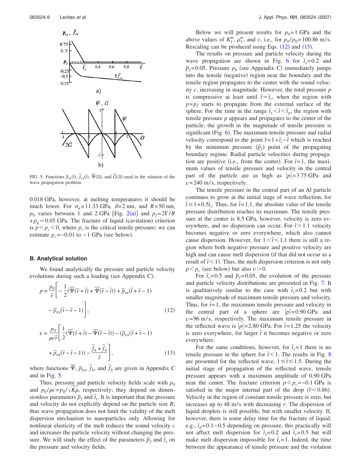<span id="page-10-0"></span>

FIG. 5. Functions  $\overline{p}_{ex}(\overline{t})$ ,  $f_{ex}(\overline{t})$ ,  $\Psi(\overline{\alpha})$ , and  $G(\overline{\alpha})$  used in the solution of the wave propagation problem.

0.018 GPa, however, at melting temperatures it should be much lower. For  $\sigma_u = 11.33$  GPa,  $\delta = 2$  nm, and  $R = 50$  nm,  $p_0$  varies between 1 and [2](#page-6-0) GPa [Fig. 2(a)] and  $p_f = 2\Gamma/R$  $+p_g \approx 0.05$  GPa. The fracture of liquid (cavitation) criterion is  $p < p_c < 0$ , where  $p_c$  is the critical tensile pressure; we can estimate  $p_c = -0.01$  to  $-1$  GPa (see below).

## **B. Analytical solution**

We found analytically the pressure and particle velocity evolutions during such a loading (see Appendix C):

<span id="page-10-1"></span>
$$
p = \frac{p_0}{\overline{r}} \left[ -\frac{1}{2} (\overline{\Psi}(\overline{r} + \overline{t}) + \overline{\Psi}(\overline{r} - \overline{t})) + \overline{p}_{ex} (\overline{t} + \overline{r} - 1) - \overline{p}_{ex} (\overline{t} - \overline{r} - 1) \right],
$$
\n(12)

<span id="page-10-2"></span>
$$
v = \frac{p_0}{\rho c \bar{r}} \left[ \frac{1}{2} (\overline{\Psi}(\bar{r} + \bar{t}) - \overline{\Psi}(\bar{r} - \bar{t})) - (\overline{p}_{ex}(\bar{r} + \bar{t} - 1)) + \overline{p}_{ex}(\bar{r} - \bar{t} - 1)) - \frac{\overline{f}_h + \overline{f}_b}{\bar{r}} \right],
$$
(13)

where functions  $\overline{\Psi}$ ,  $\overline{p}_{ex}$ ,  $\overline{f}_h$ , and  $\overline{f}_b$  are given in Appendix C and in Fig. [5.](#page-10-0)

Thus, pressure and particle velocity fields scale with  $p_0$ and  $p_0 / \rho c = p_0 / \sqrt{K \rho}$ , respectively; they depend on dimensionless parameters  $\overline{p}_f$  and  $\overline{t}_s$ . It is important that the pressure and velocity do not explicitly depend on the particle size *R*; thus wave propagation does not limit the validity of the melt dispersion mechanism to nanoparticles only. Allowing for nonlinear elasticity of the melt reduces the sound velocity *c* and increases the particle velocity without changing the pressure. We will study the effect of the parameters  $\overline{p}_f$  and  $\overline{t}_s$  on the pressure and velocity fields.

Below we will present results for  $p_0 = 1$  GPa and the above values of  $K_1^m$ ,  $\rho_1^m$ , and *c*, i.e., for  $p_0 / p_0 = 100.86$  m/s. Rescaling can be produced using Eqs.  $(12)$  $(12)$  $(12)$  and  $(13)$  $(13)$  $(13)$ .

The results on pressure and particle velocity during the wave propagation are shown in Fig. [6](#page-11-0) for  $\bar{t}_s = 0.2$  and  $\overline{p}_f$ =0.05. Pressure  $p_h$  (see Appendix C) immediately jumps into the tensile (negative) region near the boundary and the tensile region propagates to the center with the sound velocity *c*, increasing in magnitude. However, the total pressure *p* is compressive at least until  $\bar{t} \approx \bar{t}_s$ , when the region with  $p = p_f$  starts to propagate from the external surface of the sphere. For the time in the range  $\bar{t}_{s} < \bar{t} < \bar{t}_{n}$ , the region with tensile pressure *p* appears and propagates to the center of the particle; the growth in the magnitude of tensile pressure is significant (Fig. [6](#page-11-0)). The maximum tensile pressure and radial velocity correspond to the point  $\overline{r}=1+\overline{t}_s-\overline{t}$  which is reached by the minimum pressure  $(\overline{p}_f)$  point of the propagating boundary regime. Radial particle velocities during propagation are positive (i.e., from the center). For  $\bar{t} = 1$ , the maximum values of tensile pressure and velocity in the central part of the particle are as high as  $|p|=3.75$  GPa and  $v = 240$  m/s, respectively.

The tensile pressure in the central part of an Al particle continues to grow at the initial stage of wave reflection, for  $\bar{t} \leq 1 + 0.5\bar{t}_s$ . Thus, for  $\bar{t} = 1.1$ , the absolute value of the tensile pressure distribution reaches its maximum. The tensile pressure at the center is 8.5 GPa, however, velocity is zero everywhere, and no dispersion can occur. For  $\bar{t}$  > 1.1 velocity becomes negative or zero everywhere, which also cannot cause dispersion. However, for  $1 \leq \bar{t} \leq 1.1$  there is still a region where both negative pressure and positive velocity are high and can cause melt dispersion (if that did not occur as a result of  $\bar{t}$  < 1). Thus, the melt dispersion criterion is not only  $p < p_c$  (see below) but also  $v > 0$ .

For  $\bar{t}_s = 0.5$  and  $\bar{p}_f = 0.05$ , the evolution of the pressure and particle velocity distributions are presented in Fig. [7.](#page-12-0) It is qualitatively similar to the case with  $\bar{t}_s$ =0.2 but with smaller magnitude of maximum tensile pressure and velocity. Thus, for  $\bar{t}$ =1, the maximum tensile pressure and velocity in the central part of a sphere are  $|p|=0.90$  GPa and  $v = 96$  m/s, respectively. The maximum tensile pressure in the reflected wave is  $|p|=2.80$  GPa. For  $\bar{t}=1.25$  the velocity is zero everywhere, for larger  $\bar{t}$  it becomes negative or zero everywhere.

For the same conditions, however, for  $\bar{t}_s = 1$  there is no tensile pressure in the sphere for  $\bar{t}$  < 1. The results in Fig. [8](#page-12-1) are presented for the reflected wave,  $1 \leq \bar{t} \leq 1.5$ . During the initial stage of propagation of the reflected wave, tensile pressure appears with a maximum amplitude of 0.90 GPa near the center. The fracture criterion  $p < p_c = -0.1$  GPa is satisfied in the major internal part of the drop  $(\bar{r} < 0.86)$ . Velocity in the region of constant tensile pressure is zero, but increases up to  $48 \text{ m/s}$  with decreasing *r*. The dispersion of liquid droplets is still possible, but with smaller velocity. If, however, there is some delay time for the fracture of liquid, e.g.,  $\bar{t}_d$ = 0.1 – 0.5 depending on pressure, this practically will not affect melt dispersion for  $\bar{t}_s$ =0.2 and  $\bar{t}_s$ =0.5 but will make melt dispersion impossible for  $\bar{t}_s = 1$ . Indeed, the time between the appearance of tensile pressure and the violation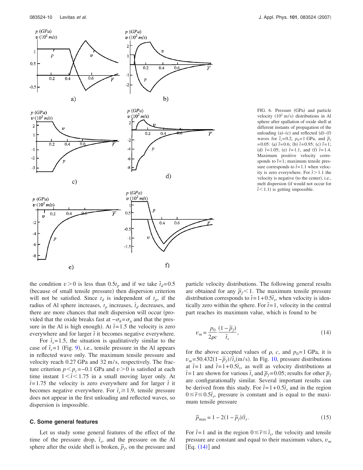<span id="page-11-0"></span>

FIG. 6. Pressure (GPa) and particle velocity  $(10^2 \text{ m/s})$  distributions in Al sphere after spallation of oxide shell at different instants of propagation of the unloading  $(a)$ - $(c)$  and reflected  $(d)$ - $(f)$ waves for  $\bar{t}_s = 0.2$ ,  $p_0 = 1$  GPa, and  $\bar{p}_f$  $t = 0.05$ : (a)  $\bar{t} = 0.6$ ; (b)  $\bar{t} = 0.95$ ; (c)  $\bar{t} = 1$ ; (d)  $\bar{t} = 1.05$ ; (e)  $\bar{t} = 1.1$ , and (f)  $\bar{t} = 1.4$ . Maximum positive velocity corresponds to  $\bar{t}$ =1; maximum tensile pressure corresponds to  $\bar{t}$  = 1.1 when velocity is zero everywhere. For  $\bar{t}$  > 1.1 the velocity is negative (to the center), i.e., melt dispersion (if would not occur for  $\overline{t}$  < 1.1) is getting impossible.

the condition  $v > 0$  is less than 0.5 $t_p$  and if we take  $\bar{t}_d = 0.5$ (because of small tensile pressure) then dispersion criterion will not be satisfied. Since  $t_d$  is independent of  $t_p$ , if the radius of Al sphere increases,  $t_p$  increases,  $\bar{t}_d$  decreases, and there are more chances that melt dispersion will occur (provided that the oxide breaks fast at  $-\sigma_h = \sigma_u$  and that the pressure in the Al is high enough). At  $\bar{t}$  = 1.5 the velocity is zero everywhere and for larger  $\bar{t}$  it becomes negative everywhere.

For  $\bar{t}_s = 1.5$ , the situation is qualitatively similar to the case of  $\bar{t}_s = 1$  (Fig. [9](#page-12-2)), i.e., tensile pressure in the Al appears in reflected wave only. The maximum tensile pressure and velocity reach 0.27 GPa and 32 m/s, respectively. The fracture criterion  $p < p_c = -0.1$  GPa and  $v > 0$  is satisfied at each time instant  $1<\bar{t}<1.75$  in a small moving layer only. At  $t = 1.75$  the velocity is zero everywhere and for larger  $t$  it becomes negative everywhere. For  $\bar{t}_s \ge 1.9$ , tensile pressure does not appear in the first unloading and reflected waves, so dispersion is impossible.

#### **C. Some general features**

Let us study some general features of the effect of the time of the pressure drop,  $\bar{t}_s$ , and the pressure on the Al sphere after the oxide shell is broken,  $\overline{p}_f$ , on the pressure and particle velocity distributions. The following general results are obtained for any  $\bar{p}_f < 1$ . The maximum tensile pressure distribution corresponds to  $\bar{t} = 1 + 0.5\bar{t}_s$ , when velocity is identically zero within the sphere. For  $\bar{t}$ =1, velocity in the central part reaches its maximum value, which is found to be

<span id="page-11-1"></span>
$$
v_m = \frac{p_0}{2\rho c} \frac{(1 - \overline{p}_f)}{\overline{t}_s},\tag{14}
$$

for the above accepted values of  $\rho$ , *c*, and  $p_0 = 1$  GPa, it is  $v_m$ =50.432(1– $\bar{p}_f$ )/ $\bar{t}_s$ (m/s). In Fig. [10,](#page-13-0) pressure distributions at  $\bar{t}$ =1 and  $\bar{t}$ =1+0.5 $\bar{t_s}$ , as well as velocity distributions at  $\bar{t}$ =1 are shown for various  $\bar{t}_s$  and  $\bar{p}_f$ =0.05; results for other  $\bar{p}_f$ are configurationally similar. Several important results can be derived from this study. For  $\bar{t} = 1 + 0.5\bar{t_s}$  and in the region  $0 \leq \bar{r} \leq 0.5\bar{t}_s$ , pressure is constant and is equal to the maximum tensile pressure

<span id="page-11-2"></span>
$$
\overline{p}_{\text{max}} = 1 - 2(1 - \overline{p}_f) / \overline{t}_s. \tag{15}
$$

For  $\bar{t}$ =1 and in the region  $0 \le \bar{r} \le \bar{t}_s$ , the velocity and tensile pressure are constant and equal to their maximum values, *v<sup>m</sup>*  $[Eq. (14)]$  $[Eq. (14)]$  $[Eq. (14)]$  and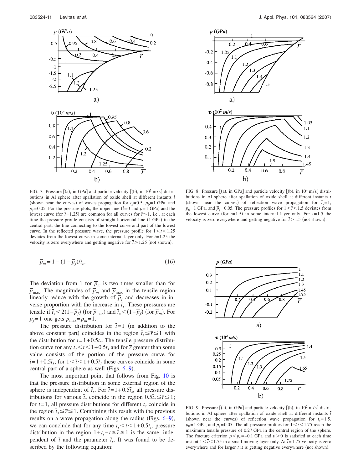<span id="page-12-0"></span>

FIG. 7. Pressure  $[(a)$ , in GPa] and particle velocity  $[(b)$ , in  $10^2$  m/s] distributions in Al sphere after spallation of oxide shell at different instants  $\bar{t}$ (shown near the curves) of waves propagation for  $\bar{t}_s$ =0.5,  $p_0$ =1 GPa, and  $\bar{p}_f$ =0.05. For the pressure plots, the upper line  $(\bar{t}=0 \text{ and } p=1 \text{ GPa})$  and the lowest curve (for  $\bar{t}$ =1.25) are common for all curves for  $\bar{t}$  ≤1, i.e., at each time the pressure profile consists of straight horizontal line (1 GPa) in the central part, the line connecting to the lowest curve and part of the lowest curve. In the reflected pressure wave, the pressure profile for  $1 \leq t \leq 1.25$ deviates from the lowest curve in some internal layer only. For  $\bar{t}$  = 1.25 the velocity is zero everywhere and getting negative for  $\bar{t}$  > 1.25 (not shown).

<span id="page-12-3"></span>
$$
\overline{p}_m = 1 - (1 - \overline{p}_f) / \overline{t}_s. \tag{16}
$$

The deviation from 1 for  $\bar{p}_m$  is two times smaller than for  $\bar{p}_{\text{max}}$ . The magnitudes of  $\bar{p}_m$  and  $\bar{p}_{\text{max}}$  in the tensile region linearly reduce with the growth of  $\overline{p}_f$  and decreases in inverse proportion with the increase in  $\bar{t}_s$ . These pressures are tensile if  $\bar{t}_s < 2(1-\bar{p}_f)$  (for  $\bar{p}_{\text{max}}$ ) and  $\bar{t}_s < (1-\bar{p}_f)$  (for  $\bar{p}_m$ ). For  $\overline{p}_f$ =1 one gets  $\overline{p}_{\text{max}} = \overline{p}_m$ =1.

The pressure distribution for  $\bar{t}$ =1 (in addition to the above constant part) coincides in the region  $\bar{t}_s \leq \bar{r} \leq 1$  with the distribution for  $\bar{t} = 1 + 0.5\bar{t}_s$ . The tensile pressure distribution curve for any  $\bar{t}_s < \bar{t} < 1 + 0.5\bar{t}_s$  and for  $\bar{r}$  greater than some value consists of the portion of the pressure curve for  $\bar{t} = 1 + 0.5\bar{t}_s$ ; for  $1 \leq \bar{t} \leq 1 + 0.5\bar{t}_s$  these curves coincide in some central part of a sphere as well (Figs.  $6-9$  $6-9$ ).

The most important point that follows from Fig. [10](#page-13-0) is that the pressure distribution in some external region of the sphere is independent of  $\bar{t}_s$ . For  $\bar{t} = 1 + 0.5\bar{t}_s$ , all pressure distributions for various  $\bar{t}_s$  coincide in the region  $0.5\bar{t}_s \leq \bar{r} \leq 1$ ; for  $\bar{t}$ =1, all pressure distributions for different  $\bar{t}_s$  coincide in the region  $\bar{t}_s \leq \bar{r} \leq 1$ . Combining this result with the previous results on a wave propagation along the radius (Figs. [6](#page-11-0)-9), we can conclude that for any time  $\bar{t}_s < \bar{t} < 1 + 0.5\bar{t}_s$ , pressure distribution in the region  $1+\bar{t}_s-\bar{t} \leq \bar{r} \leq 1$  is the same, independent of  $\bar{t}$  and the parameter  $\bar{t}_s$ . It was found to be described by the following equation:

<span id="page-12-1"></span>

FIG. 8. Pressure  $[(a)$ , in GPa] and particle velocity  $[(b)$ , in  $10^2$  m/s] distributions in Al sphere after spallation of oxide shell at different instants *t* (shown near the curves) of reflection wave propagation for  $\bar{t}_s = 1$ ,  $p_0$ =1 GPa, and  $\bar{p}_f$ =0.05. The pressure profiles for  $1 \leq \bar{t} \leq 1.5$  deviates from the lowest curve (for  $\bar{t}$ =1.5) in some internal layer only. For  $\bar{t}$ =1.5 the velocity is zero everywhere and getting negative for  $\bar{t}$  > 1.5 (not shown).

<span id="page-12-2"></span>

FIG. 9. Pressure  $[(a)$ , in GPa] and particle velocity  $[(b)$ , in  $10^2$  m/s] distributions in Al sphere after spallation of oxide shell at different instants *t* (shown near the curves) of reflection wave propagation for  $\bar{t}_s = 1.5$ ,  $p_0$ =1 GPa, and  $\bar{p}_f$ =0.05. The all pressure profiles for  $1 \le \bar{t} \le 1.75$  reach the maximum tensile pressure of 0.27 GPa in the central region of the sphere. The fracture criterion  $p < p_c = 0.1$  GPa and  $v > 0$  is satisfied at each time instant  $1 < \bar{t} < 1.75$  in a small moving layer only. At  $\bar{t} = 1.75$  velocity is zero everywhere and for larger  $\bar{t}$  it is getting negative everywhere (not shown).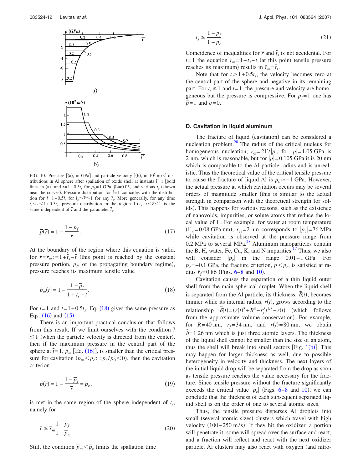<span id="page-13-0"></span>

FIG. 10. Pressure  $[(a)$ , in GPa] and particle velocity  $[(b)$ , in  $10^2$  m/s] distributions in Al sphere after spallation of oxide shell at instants  $\bar{t}$  = 1 [bold lines in (a)] and  $\bar{t}$ =1+0.5 $\bar{t_s}$  for  $p_0$ =1 GPa,  $\bar{p_f}$ =0.05, and various  $\bar{t_s}$  (shown near the curves). Pressure distribution for  $\bar{t}$ =1 coincides with the distribution for  $\bar{t} = 1 + 0.5\bar{t_s}$  for  $\bar{t_s} \le \bar{r} \le 1$  for any  $\bar{t_s}$ . More generally, for any time  $\bar{t}_s$   $\leq$  *t*  $\leq$  1+0.5 $\bar{t}_s$ , pressure distribution in the region 1+ $\bar{t}_s$ −*t*  $\leq$   $\bar{r}$  is the same independent of  $\bar{t}$  and the parameter  $\bar{t}_s$ .

$$
\overline{p}(\overline{r}) = 1 - \frac{1 - \overline{p}_f}{\overline{r}}.
$$
\n(17)

At the boundary of the region where this equation is valid, for  $\bar{r} = \bar{r}_m$ : = 1+ $\bar{t}_s$ − $\bar{t}$  (this point is reached by the constant pressure portion,  $\overline{p}_f$ , of the propagating boundary regime), pressure reaches its maximum tensile value

<span id="page-13-1"></span>
$$
\overline{p}_m(\overline{t}) = 1 - \frac{1 - \overline{p}_f}{1 + \overline{t}_s - \overline{t}}.
$$
\n(18)

For  $\bar{t}$ =1 and  $\bar{t}$ =1+0.5 $\bar{t}_s$ , Eq. ([18](#page-13-1)) gives the same pressure as Eqs.  $(16)$  $(16)$  $(16)$  and  $(15)$  $(15)$  $(15)$ .

There is an important practical conclusion that follows from this result. If we limit ourselves with the condition  $\bar{t}$  $\leq$  1 (when the particle velocity is directed from the center), then if the maximum pressure in the central part of the sphere at  $\bar{t} = 1$ ,  $\bar{p}_m$  [Eq. ([16](#page-12-3))], is smaller than the critical pressure for cavitation  $(\overline{p}_m < \overline{p}_c; = p_c / p_0 < 0)$ , then the cavitation criterion

$$
\overline{p}(\overline{r}) = 1 - \frac{1 - \overline{p}_f}{\overline{r}} = \overline{p}_c,\tag{19}
$$

is met in the same region of the sphere independent of  $\bar{t}_s$ , namely for

<span id="page-13-2"></span>
$$
\bar{r} \le \bar{r}_m \frac{1 - \bar{p}_f}{1 - \bar{p}_c}.\tag{20}
$$

Still, the condition  $\bar{p}_m < \bar{p}_c$  limits the spallation time

$$
\bar{t}_s \le \frac{1 - \bar{p}_f}{1 - \bar{p}_c}.\tag{21}
$$

Coincidence of inequalities for  $\bar{r}$  and  $\bar{t}$ , is not accidental. For  $\bar{t}$ =1 the equation  $\bar{r}_m$ =1+ $\bar{t}_s$ − $\bar{t}$  (at this point tensile pressure reaches its maximum) results in  $\bar{r}_m = \bar{t}_s$ .

Note that for  $\bar{t} > 1 + 0.5\bar{t}_s$ , the velocity becomes zero at the central part of the sphere and negative in its remaining part. For  $\bar{t}_s \geq 1$  and  $\bar{t} = 1$ , the pressure and velocity are homogeneous but the pressure is compressive. For  $\bar{p}_f = 1$  one has  $\bar{p}$ =1 and *v*=0.

#### **D. Cavitation in liquid aluminum**

The fracture of liquid (cavitation) can be considered a nucleation problem[.28](#page-21-23) The radius of the critical nucleus for homogeneous nucleation,  $r_{cr} = 2\Gamma/|p|$ , for  $|p|=1.05$  GPa is 2 nm, which is reasonable, but for  $|p|=0.105$  GPa it is 20 nm which is comparable to the Al particle radius and is unrealistic. Thus the theoretical value of the critical tensile pressure to cause the fracture of liquid Al is  $p_c$   $\approx$  -1 GPa. However, the actual pressure at which cavitation occurs may be several orders of magnitude smaller (this is similar to the actual strength in comparison with the theoretical strength for solids). This happens for various reasons, such as the existence of nanovoids, impurities, or solute atoms that reduce the local value of  $\Gamma$ . For example, for water at room temperature  $(\Gamma_w = 0.08 \text{ GPa nm})$ ,  $r_{cr} = 2 \text{ nm}$  corresponds to  $|p_c| = 76 \text{ MPa}$ while cavitation is observed at the pressure range from  $0.2$  MPa to several MPa. $^{28}$  Aluminum nanoparticles contain the B, H, water, Fe, Cu, K, and N impurities. $17$  Thus, we also will consider  $|p_c|$  in the range  $0.01-1$  GPa. For  $p_c$ =−0.1 GPa, the fracture criterion,  $p < p_c$ , is satisfied at radius  $\bar{r}_f = 0.86$  $\bar{r}_f = 0.86$  (Figs. 6[–8](#page-12-1) and [10](#page-13-0)).

Cavitation causes the separation of a thin liquid outer shell from the main spherical droplet. When the liquid shell is separated from the Al particle, its thickness,  $\tilde{\delta}(t)$ , becomes thinner while its internal radius,  $r(t)$ , grows according to the relationship  $\delta(t) = (r(t)^3 + R^3 - r_f^3)^{1/3} - r(t)$  (which follows from the approximate volume conservation). For example, for  $R=40$  nm,  $r_f=34$  nm, and  $r(t)=80$  nm, we obtain  $\delta$ = 1.26 nm which is just three atomic layers. The thickness of the liquid shell cannot be smaller than the size of an atom, thus the shell will break into small sectors [Fig.  $1(b)$  $1(b)$ ]. This may happen for larger thickness as well, due to possible heterogeneity in velocity and thickness. The next layers of the initial liquid drop will be separated from the drop as soon as tensile pressure reaches the value necessary for the fracture. Since tensile pressure without the fracture significantly exceeds the critical value  $|p_c|$  (Figs. [6–](#page-11-0)[8](#page-12-1) and [10](#page-13-0)), we can conclude that the thickness of each subsequent separated liquid shell is on the order of one to several atomic sizes.

Thus, the tensile pressure disperses Al droplets into small (several atomic sizes) clusters which travel with high velocity (100-250 m/s). If they hit the oxidizer, a portion will penetrate it, some will spread over the surface and react, and a fraction will reflect and react with the next oxidizer particle. Al clusters may also react with oxygen (and nitro-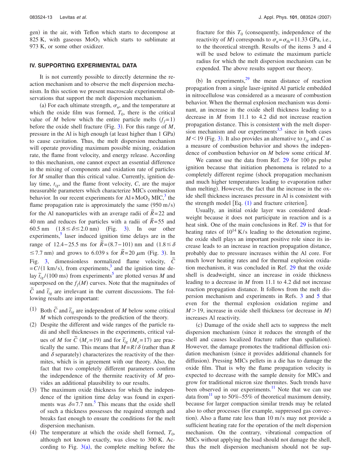gen) in the air, with Teflon which starts to decompose at 825 K, with gaseous  $MoO<sub>3</sub>$  which starts to sublimate at 973 K, or some other oxidizer.

#### **IV. SUPPORTING EXPERIMENTAL DATA**

It is not currently possible to directly determine the reaction mechanism and to observe the melt dispersion mechanism. In this section we present macroscale experimental observations that support the melt dispersion mechanism.

(a) For each ultimate strength,  $\sigma_u$ , and the temperature at which the oxide film was formed,  $T_0$ , there is the critical value of *M* below which the entire particle melts  $(f_f=1)$ before the oxide shell fracture (Fig.  $3$ ). For this range of  $M$ , pressure in the Al is high enough (at least higher than 1 GPa) to cause cavitation. Thus, the melt dispersion mechanism will operate providing maximum possible mixing, oxidation rate, the flame front velocity, and energy release. According to this mechanism, one cannot expect an essential difference in the mixing of components and oxidation rate of particles for *M* smaller than this critical value. Currently, ignition delay time,  $t_{ig}$ , and the flame front velocity,  $C$ , are the major measurable parameters which characterize MICs combustion behavior. In our recent experiments for  $Al+MoO<sub>3</sub>$  MIC,<sup>3</sup> the flame propagation rate is approximately the same  $(950 \text{ m/s})$ for the Al nanoparticles with an average radii of  $\tilde{R} = 22$  and 40 nm and reduces for particles with a radii of  $\tilde{R}$  = 55 and 60.5 nm  $(1.8 \le \delta \le 2.0 \text{ nm})$  (Fig. [3](#page-7-0)). In our other  $experiments,$ <sup>3</sup> laser induced ignition time delays are in the  $r_{\text{range of}}$  of 12.4−25.5 ms for  $\tilde{R} = (8.7 - 101)$  nm and  $(1.8 \le \delta)$  $\leq$  7.7 nm) and grows to 6.0[3](#page-7-0)9 s for  $\tilde{R}$ = 20  $\mu$ m (Fig. 3). In Fig. [3,](#page-7-0) dimensionless normalized flame velocity,  $\tilde{C}$  $= C/(1 \text{ km/s})$ , from experiments,<sup>3</sup> and the ignition time delay  $\tilde{t}_{ig}$  /(100 ms) from experiments<sup>5</sup> are plotted versus *M* and superposed on the  $f_f(M)$  curves. Note that the magnitudes of  $\tilde{C}$  and  $\tilde{t}_{ig}$  are irrelevant in the current discussions. The following results are important:

- (1) Both  $\tilde{C}$  and  $\tilde{t}_{ig}$  are independent of *M* below some critical *M* which corresponds to the prediction of the theory.
- (2) Despite the different and wide ranges of the particle radii and shell thicknesses in the experiments, critical values of *M* for  $\tilde{C}$  ( $M_c$ =19) and for  $\tilde{t}_{ig}$  ( $M_c$ =17) are practically the same. This means that  $M = R/\delta$  (rather than R and  $\delta$  separately) characterizes the reactivity of the thermites, which is in agreement with our theory. Also, the fact that two completely different parameters confirm the independence of the thermite reactivity of *M* provides an additional plausibility to our results.
- (3) The maximum oxide thickness for which the independence of the ignition time delay was found in experiments was  $\delta = 7.7$  nm.<sup>5</sup> This means that the oxide shell of such a thickness possesses the required strength and breaks fast enough to ensure the conditions for the melt dispersion mechanism.
- (4) The temperature at which the oxide shell formed,  $T_0$ , although not known exactly, was close to 300 K. According to Fig.  $3(a)$  $3(a)$ , the complete melting before the

fracture for this  $T_0$  (consequently, independence of the reactivity of *M*) corresponds to  $\sigma_u = \sigma_{\text{th}} = 11.33 \text{ GPa}, \text{ i.e.,}$ to the theoretical strength. Results of the items 3 and 4 will be used below to estimate the maximum particle radius for which the melt dispersion mechanism can be expended. The above results support our theory.

(b) In experiments, $2^9$  the mean distance of reaction propagation from a single laser-ignited Al particle embedded in nitrocellulose was considered as a measure of combustion behavior. When the thermal explosion mechanism was dominant, an increase in the oxide shell thickness leading to a decrease in *M* from 11.1 to 4.2 did not increase reaction propagation distance. This is consistent with the melt dispersion mechanism and our experiments $3.5$  $3.5$  since in both cases  $M$ <19 (Fig. [3](#page-7-0)). It also provides an alternative to  $t_{ig}$  and *C* as a measure of combustion behavior and shows the independence of combustion behavior on *M* below some critical *M*.

We cannot use the data from Ref. [29](#page-21-24) for 100 ps pulse ignition because that initiation phenomena is related to a completely different regime (shock propagation mechanism and much higher temperatures leading to evaporation rather than melting). However, the fact that the increase in the oxide shell thickness increases pressure in Al is consistent with the strength model  $[Eq. (1)$  $[Eq. (1)$  $[Eq. (1)$  and fracture criterion].

Usually, an initial oxide layer was considered deadweight because it does not participate in reaction and is a heat sink. One of the main conclusions in Ref. [29](#page-21-24) is that for heating rates of  $10^{14}$  K/s leading to the detonation regime, the oxide shell plays an important positive role since its increase leads to an increase in reaction propagation distance, probably due to pressure increases within the Al core. For much lower heating rates and for thermal explosion oxidation mechanism, it was concluded in Ref. [29](#page-21-24) that the oxide shell is deadweight, since an increase in oxide thickness leading to a decrease in *M* from 11.1 to 4.2 did not increase reaction propagation distance. It follows from the melt dispersion mechanism and experiments in Refs. [3](#page-20-3) and [5](#page-20-2) that even for the thermal explosion oxidation regime and  $M > 19$ , increase in oxide shell thickness (or decrease in *M*) increases Al reactivity.

(c) Damage of the oxide shell acts to suppress the melt dispersion mechanism (since it reduces the strength of the shell and causes localized fracture rather than spallation). However, the damage promotes the traditional diffusion oxidation mechanism (since it provides additional channels for diffusion). Pressing MICs pellets in a die has to damage the oxide film. That is why the flame propagation velocity is expected to decrease with the sample density for MICs and grow for traditional micron size thermites. Such trends have been observed in our experiments.<sup>11</sup> Note that we can use data from<sup>11</sup> up to 50%–55% of theoretical maximum density, because for larger compaction similar trends may be related also to other processes (for example, suppressed gas convection). Also a flame rate less than 10 m/s may not provide a sufficient heating rate for the operation of the melt dispersion mechanism. On the contrary, vibrational compaction of MICs without applying the load should not damage the shell, thus the melt dispersion mechanism should not be sup-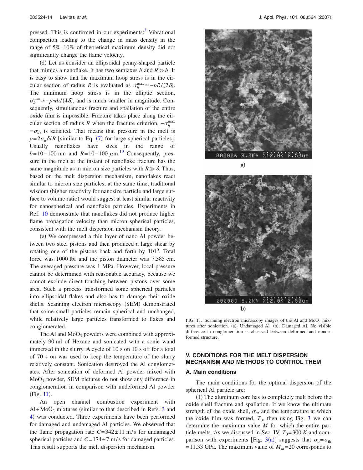pressed. This is confirmed in our experiments:<sup>3</sup> Vibrational compaction leading to the change in mass density in the range of 5%–10% of theoretical maximum density did not significantly change the flame velocity.

(d) Let us consider an ellipsoidal penny-shaped particle that mimics a nanoflake. It has two semiaxes *b* and  $R \gg b$ . It is easy to show that the maximum hoop stress is in the circular section of radius *R* is evaluated as  $\sigma_h^{\text{max}} \approx -pR/(2\delta)$ . The minimum hoop stress is in the elliptic section,  $\sigma_h^{\min} \simeq -p \pi b/(4 \delta)$ , and is much smaller in magnitude. Consequently, simultaneous fracture and spallation of the entire oxide film is impossible. Fracture takes place along the circular section of radius *R* when the fracture criterion,  $-\sigma_h^{\max}$  $=\sigma_u$ , is satisfied. That means that pressure in the melt is  $p=2\sigma_u\delta/R$  [similar to Eq. ([7](#page-8-0)) for large spherical particles]. Usually nanoflakes have sizes in the range of  $b = 10 - 100$  $b = 10 - 100$  $b = 10 - 100$  nm and  $R = 10 - 100 \mu m$ .<sup>10</sup> Consequently, pressure in the melt at the instant of nanoflake fracture has the same magnitude as in micron size particles with  $R \gg \delta$ . Thus, based on the melt dispersion mechanism, nanoflakes react similar to micron size particles; at the same time, traditional wisdom (higher reactivity for nanosize particle and large surface to volume ratio) would suggest at least similar reactivity for nanospherical and nanoflake particles. Experiments in Ref. [10](#page-21-0) demonstrate that nanoflakes did not produce higher flame propagation velocity than micron spherical particles, consistent with the melt dispersion mechanism theory.

(e) We compressed a thin layer of nano Al powder between two steel pistons and then produced a large shear by rotating one of the pistons back and forth by  $101<sup>0</sup>$ . Total force was 1000 lbf and the piston diameter was 7.385 cm. The averaged pressure was 1 MPa. However, local pressure cannot be determined with reasonable accuracy, because we cannot exclude direct touching between pistons over some area. Such a process transformed some spherical particles into ellipsoidal flakes and also has to damage their oxide shells. Scanning electron microscopy (SEM) demonstrated that some small particles remain spherical and unchanged, while relatively large particles transformed to flakes and conglomerated.

The Al and  $MoO<sub>3</sub>$  powders were combined with approximately 90 ml of Hexane and sonicated with a sonic wand immersed in the slurry. A cycle of 10 s on 10 s off for a total of 70 s on was used to keep the temperature of the slurry relatively constant. Sonication destroyed the Al conglomerates. After sonication of deformed Al powder mixed with MoO3 powder, SEM pictures do not show any difference in conglomeration in comparison with undeformed Al powder (Fig. [11](#page-15-0)).

An open channel combustion experiment with  $Al+MoO<sub>3</sub>$  $Al+MoO<sub>3</sub>$  $Al+MoO<sub>3</sub>$  mixtures (similar to that described in Refs. 3 and [4](#page-20-1)) was conducted. Three experiments have been performed for damaged and undamaged Al particles. We observed that the flame propagation rate  $C = 342 \pm 11$  m/s for undamaged spherical particles and  $C = 174 \pm 7$  m/s for damaged particles. This result supports the melt dispersion mechanism.

<span id="page-15-0"></span>

支持 8 ekv **000003**  $b)$ 

FIG. 11. Scanning electron microscopy images of the Al and  $MoO<sub>3</sub>$  mixtures after sonication. (a). Undamaged Al. (b). Damaged Al. No visible difference in conglomeration is observed between deformed and nondeformed structure.

# **V. CONDITIONS FOR THE MELT DISPERSION MECHANISM AND METHODS TO CONTROL THEM**

#### **A. Main conditions**

The main conditions for the optimal dispersion of the spherical Al particle are:

(1) The aluminum core has to completely melt before the oxide shell fracture and spallation. If we know the ultimate strength of the oxide shell,  $\sigma_u$ , and the temperature at which the oxide film was formed,  $T_0$ , then using Fig. [3](#page-7-0) we can determine the maximum value *M* for which the entire particle melts. As we discussed in Sec. IV,  $T_0$ =300 *K* and com-parison with experiments [Fig. [3](#page-7-0)(a)] suggests that  $\sigma_u = \sigma_{\text{th}}$  $= 11.33$  GPa. The maximum value of  $M_m = 20$  corresponds to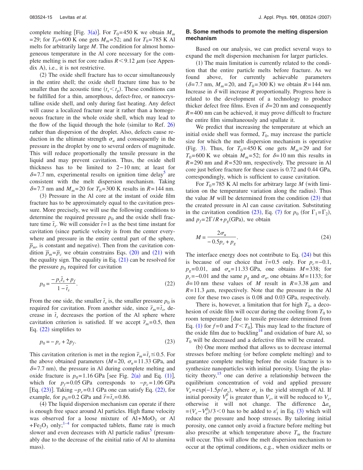complete melting [Fig. [3](#page-7-0)(a)]. For  $T_0$ =450 K we obtain  $M_m$ = 29; for  $T_0$ = 600 K one gets  $M_m$ = 52; and for  $T_0$ = 785 K Al melts for arbitrarily large *M*. The condition for almost homogeneous temperature in the Al core necessary for the complete melting is met for core radius  $R < 9.12 \mu m$  (see Appendix A), i.e., it is not restrictive.

(2) The oxide shell fracture has to occur simultaneously in the entire shell; the oxide shell fracture time has to be smaller than the acoustic time  $(t_s < t_p)$ . These conditions can be fulfilled for a thin, amorphous, defect-free, or nanocrystalline oxide shell, and only during fast heating. Any defect will cause a localized fracture near it rather than a homogeneous fracture in the whole oxide shell, which may lead to the flow of the liquid through the hole (similar to Ref.  $26$ ) rather than dispersion of the droplet. Also, defects cause reduction in the ultimate strength  $\sigma_u$  and consequently in the pressure in the droplet by one to several orders of magnitude. This will reduce proportionally the tensile pressure in the liquid and may prevent cavitation. Thus, the oxide shell thickness has to be limited to 2− 10 nm; at least for  $\delta = 7.7$  nm, experimental results on ignition time delay<sup>5</sup> are consistent with the melt dispersion mechanism. Taking  $\delta = 7.7$  nm and  $M_m = 20$  for  $T_0 = 300$  K results in  $R = 144$  nm.

(3) Pressure in the Al core at the instant of oxide film fracture has to be approximately equal to the cavitation pressure. More precisely, we will use the following conditions to determine the required pressure  $p_0$  and the oxide shell fracture time  $\bar{t}_s$ . We will consider  $\bar{t} = 1$  as the best time instant for cavitation (since particle velocity is from the center everywhere and pressure in the entire central part of the sphere,  $\overline{p}_m$ , is constant and negative). Then from the cavitation condition  $\bar{p}_m = \bar{p}_c$  we obtain constrains Eqs. ([20](#page-13-2)) and ([21](#page-12-1)) with the equality sign. The equality in Eq.  $(21)$  $(21)$  $(21)$  can be resolved for the pressure  $p_0$  required for cavitation

<span id="page-16-0"></span>
$$
p_0 = \frac{-p_c \bar{t}_s + p_f}{1 - \bar{t}_s}.\tag{22}
$$

From the one side, the smaller  $\bar{t}_s$  is, the smaller pressure  $p_0$  is required for cavitation. From another side, since  $\bar{r}_m = \bar{t}_s$ , decrease in  $\bar{t}_s$  decreases the portion of the Al sphere where cavitation criterion is satisfied. If we accept  $\bar{r}_m = 0.5$ , then Eq. ([22](#page-16-0)) simplifies to

<span id="page-16-1"></span>
$$
p_0 = -p_c + 2p_f.
$$
 (23)

This cavitation criterion is met in the region  $\bar{r}_m = \bar{t}_s \leq 0.5$ . For the above obtained parameters  $(M=20, \sigma_u=11.33$  GPa, and  $\delta = 7.7$  nm), the pressure in Al during complete melting and oxide fracture is  $p_0 = 1.16$  $p_0 = 1.16$  $p_0 = 1.16$  GPa [see Fig. [2](#page-6-0)(a) and Eq. (1)], which for  $p_f = 0.05$  GPa corresponds to  $-p_c = 1.06$  GPa [Eq.  $(23)$  $(23)$  $(23)$ ]. Taking  $-p_c=0.1$  GPa one can satisfy Eq.  $(22)$  $(22)$  $(22)$ , for example, for  $p_0 = 0.2$  GPa and  $\bar{r} = \bar{t}_s = 0.86$ .

(4) The liquid dispersion mechanism can operate if there is enough free space around Al particles. High flame velocity was observed for a loose mixture of  $Al+MoO<sub>3</sub>$  or Al  $+Fe<sub>2</sub>O<sub>3</sub>$  only;<sup>1–[4](#page-20-1)</sup> for compacted tablets, flame rate is much slower and even decreases with Al particle radius<sup>3</sup> (presumably due to the decrease of the einitial ratio of Al to alumina mass).

# **B. Some methods to promote the melting dispersion mechanism**

Based on our analysis, we can predict several ways to expand the melt dispersion mechanism for larger particles.

(1) The main limitation is currently related to the condition that the entire particle melts before fracture. As we found above, for currently achievable parameters  $(\delta = 7.7 \text{ nm}, M_m = 20, \text{ and } T_0 = 300 \text{ K})$  we obtain  $R = 144 \text{ nm}.$ Increase in  $\delta$  will increase  $R$  proportionally. Progress here is related to the development of a technology to produce thicker defect free films. Even if  $\delta = 20$  nm and consequently *R*= 400 nm can be achieved, it may prove difficult to fracture the entire film simultaneously and spallate it.

We predict that increasing the temperature at which an initial oxide shell was formed,  $T_0$ , may increase the particle size for which the melt dispersion mechanism is operative (Fig. [3](#page-7-0)). Thus, for  $T_0 = 450$  K one gets  $M_m = 29$  and for  $T_0$ = 600 K we obtain  $M_m$ = 52; for  $\delta$ =10 nm this results in *R*= 290 nm and *R*= 520 nm, respectively. The pressure in Al core just before fracture for these cases is 0.72 and 0.44 GPa, correspondingly, which is sufficient to cause cavitation.

For  $T_0$ =785 K Al melts for arbitrary large *M* (with limitation on the temperature variation along the radius). Thus the value  $M$  will be determined from the condition  $(23)$  $(23)$  $(23)$  that the created pressure in Al can cause cavitation. Substituting in the cavitation condition ([23](#page-16-1)), Eq. ([7](#page-8-0)) for  $p_0$  (for  $\Gamma_1 = \Gamma_2$ ), and  $p_f = 2\Gamma/R + p_g(\text{GPa})$ , we obtain

<span id="page-16-2"></span>
$$
M = \frac{2\sigma_u}{-0.5p_c + p_g}.\tag{24}
$$

The interface energy does not contribute to Eq.  $(24)$  $(24)$  $(24)$  but this is because of our choice that  $\bar{t}$ =0.5 only. For  $p_c$ =−0.1,  $p_g$ = 0.01, and  $\sigma_u$ = 11.33 GPa, one obtains *M* = 338; for  $p_c$ =−0.01 and the same  $p_g$  and  $\sigma_u$ , one obtains *M* = 1133; for  $\delta = 10$  nm these values of *M* result in  $R = 3.38 \mu m$  and  $R = 11.3 \mu m$ , respectively. Note that the pressure in the Al core for these two cases is 0.08 and 0.03 GPa, respectively.

There is, however, a limitation that for high  $T_0$ , a decohesion of oxide film will occur during the cooling from  $T_0$  to room temperature [due to tensile pressure determined from Eq. ([1](#page-5-0)) for  $f=0$  and  $T < T_0$ . This may lead to the fracture of the oxide film due to buckling $14$  and oxidation of bare Al, so  $T_0$  will be decreased and a defective film will be created.

(b) One more method that allows us to decrease internal stresses before melting (or before complete melting) and to guarantee complete melting before the oxide fracture is to synthesize nanoparticles with initial porosity. Using the plasticity theory, $\frac{15}{15}$  one can derive a relationship between the equilibrium concentration of void and applied pressure  $V_e = \exp(-1.5p/\sigma_y)$ , where  $\sigma_y$  is the yield strength of Al. If initial porosity  $V_e^0$  is greater than  $V_e$ , it will be reduced to  $V_e$ , otherwise it will not change. The difference  $\Delta \varepsilon_v$  $=(V_e - V_e^0)/3 < 0$  $=(V_e - V_e^0)/3 < 0$  $=(V_e - V_e^0)/3 < 0$  has to be added to  $\varepsilon_1^i$  in Eq. (3) which will reduce the pressure and hoop stresses. By tailoring initial porosity, one cannot only avoid a fracture before melting but also prescribe at which temperature above  $T_m$  the fracture will occur. This will allow the melt dispersion mechanism to occur at the optimal conditions, e.g., when oxidizer melts or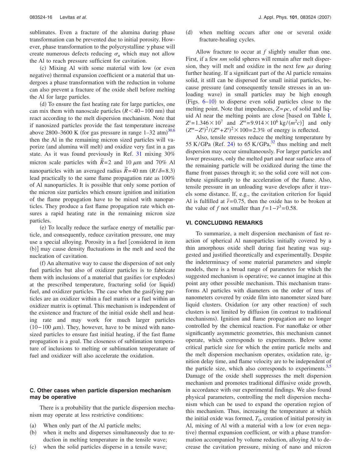sublimates. Even a fracture of the alumina during phase transformation can be prevented due to initial porosity. However, phase transformation to the polycrystalline  $\gamma$  phase will create numerous defects reducing  $\sigma_u$  which may not allow the Al to reach pressure sufficient for cavitation.

(c) Mixing Al with some material with low (or even negative) thermal expansion coefficient or a material that undergoes a phase transformation with the reduction in volume can also prevent a fracture of the oxide shell before melting the Al for large particles.

(d) To ensure the fast heating rate for large particles, one can mix them with nanoscale particles  $(R < 40 - 100$  nm) that react according to the melt dispersion mechanism. Note that if nanosized particles provide the fast temperature increase above 2800–3600 K (for gas pressure in range  $1-32$  atm)<sup>[30](#page-21-25)[,6](#page-20-4)</sup> then the Al in the remaining micron sized particles will vaporize (and alumina will melt) and oxidize very fast in a gas state. As it was found previously in Ref. [31](#page-21-26) mixing 30% micron scale particles with  $\tilde{R}$  = 2 and 10  $\mu$ m and 70% Al nanoparticles with an averaged radius  $\tilde{R}$  = 40 nm  $(R/\delta$ = 8.3) lead practically to the same flame propagation rate as 100% of Al nanoparticles. It is possible that only some portion of the micron size particles which ensure ignition and initiation of the flame propagation have to be mixed with nanoparticles. They produce a fast flame propagation rate which ensures a rapid heating rate in the remaining micron size particles.

(e) To locally reduce the surface energy of metallic particle, and consequently, reduce cavitation pressure, one may use a special alloying. Porosity in a fuel [considered in item (b)] may cause density fluctuations in the melt and seed the nucleation of cavitation.

(f) An alternative way to cause the dispersion of not only fuel particles but also of oxidizer particles is to fabricate them with inclusions of a material that gasifies (or explodes) at the prescribed temperature, fracturing solid (or liquid) fuel, and oxidizer particles. The case when the gasifying particles are an oxidizer within a fuel matrix or a fuel within an oxidizer matrix is optimal. This mechanism is independent of the existence and fracture of the initial oxide shell and heating rate and may work for much larger particles  $(10-100 \mu m)$ . They, however, have to be mixed with nanosized particles to ensure fast initial heating, if the fast flame propagation is a goal. The closeness of sublimation temperature of inclusions to melting or sublimation temperature of fuel and oxidizer will also accelerate the oxidation.

## **C. Other cases when particle dispersion mechanism may be operative**

There is a probability that the particle dispersion mechanism may operate at less restrictive conditions:

- $(a)$ When only part of the Al particle melts;
- $(b)$  when it melts and disperses simultaneously due to reduction in melting temperature in the tensile wave;
- $(c)$ when the solid particles disperse in a tensile wave;

(d) when melting occurs after one or several oxide fracture-healing cycles.

Allow fracture to occur at *f* slightly smaller than one. First, if a few *nm* solid spheres will remain after melt dispersion, they will melt and oxidize in the next few  $\mu s$  during further heating. If a significant part of the Al particle remains solid, it still can be dispersed for small initial particles, because pressure (and consequently tensile stresses in an unloading wave) in small particles may be high enough (Figs.  $6-10$  $6-10$ ) to disperse even solid particles close to the melting point. Note that impedances,  $Z = \rho c$ , of solid and liquid Al near the melting points are close  $\lceil$ based on Table [I,](#page-5-3)  $Z^s = 1.346 \times 10^7$  and  $Z^m = 9.914 \times 10^6$  kg/*(m<sup>2</sup>c)*] and only  $(Z^m - Z^s)^2 / (Z^m + Z^s)^2 \times 100 = 2.3\%$  of energy is reflected.

Also, tensile stresses reduce the melting temperature by 55 K/GPa (Ref. [24](#page-21-19)) to 65 K/GPa, $32$  thus melting and melt dispersion may occur simultaneously. For larger particles and lower pressures, only the melted part and near surface area of the remaining particle will be oxidized during the time the flame front passes through it; so the solid core will not contribute significantly to the acceleration of the flame. Also, tensile pressure in an unloading wave develops after it travels some distance. If, e.g., the cavitation criterion for liquid Al is fulfilled at  $\bar{r}$ =0.75, then the oxide has to be broken at the value of *f* not smaller than  $f = 1 - \overline{r}^3 = 0.58$ .

# **VI. CONCLUDING REMARKS**

To summarize, a melt dispersion mechanism of fast reaction of spherical Al nanoparticles initially covered by a thin amorphous oxide shell during fast heating was suggested and justified theoretically and experimentally. Despite the indeterminacy of some material parameters and simple models, there is a broad range of parameters for which the suggested mechanism is operative; we cannot imagine at this point any other possible mechanism. This mechanism transforms Al particles with diameters on the order of tens of nanometers covered by oxide film into nanometer sized bare liquid clusters. Oxidation (or any other reaction) of such clusters is not limited by diffusion (in contrast to traditional mechanisms). Ignition and flame propagation are no longer controlled by the chemical reaction. For nanoflake or other significantly asymmetric geometries, this mechanism cannot operate, which corresponds to experiments. Below some critical particle size for which the entire particle melts and the melt dispersion mechanism operates, oxidation rate, ignition delay time, and flame velocity are to be independent of the particle size, which also corresponds to experiments.<sup>3[,5](#page-20-2)</sup> Damage of the oxide shell suppresses the melt dispersion mechanism and promotes traditional diffusive oxide growth, in accordance with our experimental findings. We also found physical parameters, controlling the melt dispersion mechanism which can be used to expand the operation region of this mechanism. Thus, increasing the temperature at which the initial oxide was formed,  $T_0$ , creation of initial porosity in Al, mixing of Al with a material with a low (or even negative) thermal expansion coefficient, or with a phase transformation accompanied by volume reduction, alloying Al to decrease the cavitation pressure, mixing of nano and micron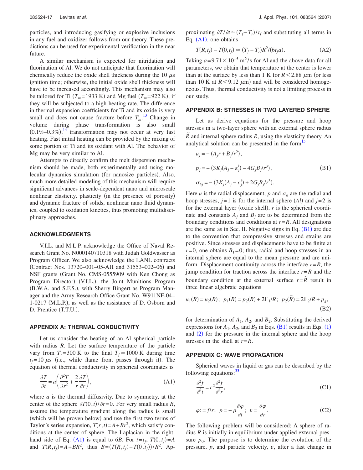particles, and introducing gasifying or explosive inclusions in any fuel and oxidizer follows from our theory. These predictions can be used for experimental verification in the near future.

A similar mechanism is expected for nitridation and fluorination of Al. We do not anticipate that fluorination will chemically reduce the oxide shell thickness during the 10  $\mu$ s ignition time; otherwise, the initial oxide shell thickness will have to be increased accordingly. This mechanism may also be tailored for Ti  $(T_m = 1933 \text{ K})$  and Mg fuel  $(T_m = 922 \text{ K})$ , if they will be subjected to a high heating rate. The difference in thermal expansion coefficients for Ti and its oxide is very small and does not cause fracture before  $T_m$ .<sup>[13](#page-21-3)</sup> Change in volume during phase transformation is also small  $(0.1\% - 0.3\%)$ ;<sup>[14](#page-21-4)</sup> transformation may not occur at very fast heating. Fast initial heating can be provided by the mixing of some portion of Ti and its oxidant with Al. The behavior of Mg may be very similar to Al.

Attempts to directly confirm the melt dispersion mechanism should be made, both experimentally and using molecular dynamics simulation (for nanosize particles). Also, much more detailed modeling of this mechanism will require significant advances in scale-dependent nano and microscale nonlinear elasticity, plasticity (in the presence of porosity) and dynamic fracture of solids, nonlinear nano fluid dynamics, coupled to oxidation kinetics, thus promoting multidisciplinary approaches.

#### **ACKNOWLEDGMENTS**

V.I.L. and M.L.P. acknowledge the Office of Naval Research Grant No. N000140710318 with Judah Goldwasser as Program Officer. We also acknowledge the LANL contracts (Contract Nos. 13720-001-05-AH and 31553-002-06) and NSF grants Grant No. CMS-0555909 with Ken Chong as Program Director) (V.I.L.), the Joint Munitions Program (B.W.A. and S.F.S.), with Sherry Bingert as Program Manager and the Army Research Office Grant No. W911NF-04– 1-0217 (M.L.P.), as well as the assistance of D. Osborn and D. Prentice (T.T.U.).

#### **APPENDIX A: THERMAL CONDUCTIVITY**

Let us consider the heating of an Al spherical particle with radius *R*. Let the surface temperature of the particle vary from  $T_r = 300 \text{ K}$  to the final  $T_f \approx 1000 \text{ K}$  during time  $t_f = 10 \mu s$  (i.e., while flame front passes through it). The equation of thermal conductivity in spherical coordinates is

<span id="page-18-0"></span>
$$
\frac{\partial T}{\partial t} = a \left( \frac{\partial^2 T}{\partial r^2} + \frac{2}{r} \frac{\partial T}{\partial r} \right),\tag{A1}
$$

where *a* is the thermal diffusivity. Due to symmetry, at the center of the sphere  $\partial T(0, t) / \partial r = 0$ . For very small radius *R*, assume the temperature gradient along the radius is small (which will be proven below) and use the first two terms of Taylor's series expansion,  $T(r, t) = A + Br^2$ , which satisfy conditions at the center of sphere. The Laplacian in the right-hand side of Eq. ([A1](#page-18-0)) is equal to 6*B*. For  $t=t_f$ ,  $T(0, t_f)=A$ and  $T(R, t_f) = A + BR^2$ , thus  $B = (T(R, t_f) - T(0, t_f)) / R^2$ . Approximating  $\partial T / \partial t \simeq (T_f - T_r) / t_f$  and substituting all terms in Eq.  $(A1)$  $(A1)$  $(A1)$ , one obtains

$$
T(R, t_f) - T(0, t_f) \simeq (T_f - T_r)R^2/(6t_f a). \tag{A2}
$$

Taking  $a = 9.71 \times 10^{-5}$  m<sup>2</sup>/s for Al and the above data for all parameters, we obtain that temperature at the center is lower than at the surface by less than 1 K for  $R < 2.88 \mu m$  (or less than 10 K at  $R < 9.12 \mu m$ ) and will be considered homogeneous. Thus, thermal conductivity is not a limiting process in our study.

# **APPENDIX B: STRESSES IN TWO LAYERED SPHERE**

Let us derive equations for the pressure and hoop stresses in a two-layer sphere with an external sphere radius  $\overline{R}$  and internal sphere radius *R*, using the elasticity theory. An analytical solution can be presented in the form<sup>1</sup>

<span id="page-18-1"></span>
$$
u_j = -(A_j r + B_j/r^2),
$$
  
\n
$$
p_j = -(3K_j(A_j - \varepsilon_j^i) - 4G_jB_j/r^3),
$$
  
\n
$$
\sigma_{hj} = -(3K_j(A_j - \varepsilon_j^i) + 2G_jB_j/r^3).
$$
\n(B1)

Here *u* is the radial displacement, *p* and  $\sigma_h$  are the radial and hoop stresses,  $j=1$  is for the internal sphere  $(Al)$  and  $j=2$  is for the external layer (oxide shell),  $r$  is the spherical coordinate and constants  $A_i$  and  $B_j$  are to be determined from the boundary conditions and conditions at  $r = R$ . All designations are the same as in Sec. II. Negative signs in Eq.  $(B1)$  $(B1)$  $(B1)$  are due to the convention that compressive stresses and strains are positive. Since stresses and displacements have to be finite at  $r=0$ , one obtains  $B_1=0$ ; thus, radial and hoop stresses in an internal sphere are equal to the mean pressure and are uniform. Displacement continuity across the interface  $r = R$ , the jump condition for traction across the interface  $r = R$  and the boundary condition at the external surface  $r = \overline{R}$  result in three linear algebraic equations

$$
u_1(R) = u_2(R);
$$
  $p_1(R) = p_2(R) + 2\Gamma_1/R;$   $p_2(\tilde{R}) = 2\Gamma_2/R + p_g,$   
(B2)

for determination of  $A_1$ ,  $A_2$ , and  $B_2$ . Substituting the derived expressions for  $A_1$  $A_1$ ,  $A_2$ , and  $B_2$  in Eqs. ([B1](#page-18-1)) results in Eqs. (1) and ([2](#page-5-1)) for the pressure in the internal sphere and the hoop stresses in the shell at *r*=*R*.

#### **APPENDIX C: WAVE PROPAGATION**

Spherical waves in liquid or gas can be described by the following equations: $33$ 

<span id="page-18-3"></span>
$$
\frac{\partial^2 f}{\partial^2 t} = c^2 \frac{\partial^2 f}{\partial^2 r},\tag{C1}
$$

<span id="page-18-2"></span>
$$
\varphi = f/r; \ \ p = -\rho \frac{\partial \varphi}{\partial t}; \ \ v = \frac{\partial \varphi}{\partial r}.
$$
 (C2)

The following problem will be considered: A sphere of radius *R* is initially in equilibrium under applied external pressure  $p_0$ . The purpose is to determine the evolution of the pressure, *p*, and particle velocity, *v*, after a fast change in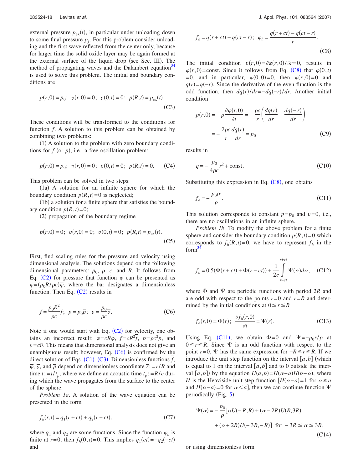external pressure  $p_{ex}(t)$ , in particular under unloading down to some final pressure  $p_f$ . For this problem consider unloading and the first wave reflected from the center only, because for larger time the solid oxide layer may be again formed at the external surface of the liquid drop (see Sec. III). The method of propagating waves and the Dalambert equation<sup>34</sup> is used to solve this problem. The initial and boundary conditions are

<span id="page-19-1"></span>
$$
p(r,0) = p_0; \ \ v(r,0) = 0; \ \ v(0,t) = 0; \ \ p(R,t) = p_{ex}(t).
$$
\n(C3)

These conditions will be transformed to the conditions for function *f*. A solution to this problem can be obtained by combining two problems:

(1) A solution to the problem with zero boundary conditions for  $f$  (or  $p$ ), i.e., a free oscillation problem:

$$
p(r,0) = p_0;
$$
  $v(r,0) = 0;$   $v(0,t) = 0;$   $p(R,t) = 0.$  (C4)

This problem can be solved in two steps:

(1a) A solution for an infinite sphere for which the boundary condition  $p(R, t) = 0$  is neglected;

(1b) a solution for a finite sphere that satisfies the boundary condition  $p(R,t)=0$ ;

(2) propagation of the boundary regime

$$
p(r,0) = 0
$$
;  $v(r,0) = 0$ ;  $v(0,t) = 0$ ;  $p(R,t) = p_{ex}(t)$ . (C5)

First, find scaling rules for the pressure and velocity using dimensional analysis. The solutions depend on the following dimensional parameters:  $p_0$ ,  $\rho$ ,  $c$ , and  $R$ . It follows from Eq. ([C2](#page-18-2)) for pressure that function  $\varphi$  can be presented as  $\varphi = (p_0 R / \rho c) \overline{\varphi}$ , where the bar designates a dimensionless function. Then Eq.  $(C2)$  $(C2)$  $(C2)$  results in

<span id="page-19-0"></span>
$$
f = \frac{p_0 R^2}{\rho c} \overline{f}; \quad p = p_0 \overline{p}; \quad v = \frac{p_0}{\rho c} \overline{v}.
$$
 (C6)

Note if one would start with Eq.  $(C2)$  $(C2)$  $(C2)$  for velocity, one obtains an incorrect result:  $\varphi = cR\overline{\varphi}$ ,  $f = cR^2f$ ,  $p = \rho c^2\overline{p}$ , and  $v = c\overline{v}$ . This means that dimensional analysis does not give an unambiguous result; however, Eq.  $(C6)$  $(C6)$  $(C6)$  is confirmed by the direct solution of Eqs.  $(C1)$  $(C1)$  $(C1)$ – $(C3)$  $(C3)$  $(C3)$ . Dimensionless functions *f*,  $\overline{\varphi}$ ,  $\overline{v}$ , and  $\overline{p}$  depend on dimensionless coordinate  $\overline{r}$ : = *r*/*R* and time  $\bar{t}$ : =  $t/t_p$ , where we define an acoustic time  $t_p$ : =  $R/c$  during which the wave propagates from the surface to the center of the sphere.

*Problem 1a*. A solution of the wave equation can be presented in the form

$$
f_h(r,t) = q_1(r+ct) + q_2(r-ct),
$$
 (C7)

where  $q_1$  and  $q_2$  are some functions. Since the function  $\varphi_h$  is finite at  $r=0$ , then  $f_h(0,t)=0$ . This implies  $q_1(ct)=-q_2(-ct)$ and

<span id="page-19-2"></span>
$$
f_h = q(r + ct) - q(ct - r); \ \ \varphi_h = \frac{q(r + ct) - q(ct - r)}{r}.
$$
 (C8)

The initial condition  $v(r, 0) = \partial \varphi(r, 0) / \partial r = 0$ , results in  $\varphi(r,0)$ =const. Since it follows from Eq. ([C8](#page-19-2)) that  $\varphi(0,t)$  $= 0$ , and in particular,  $\varphi(0,0) = 0$ , then  $\varphi(r,0) = 0$  and  $q(r) = q(-r)$ . Since the derivative of the even function is the odd function, then  $dq(r)/dr = -dq(-r)/dr$ . Another initial condition

$$
p(r,0) = -\rho \frac{\partial \varphi(r,0)}{\partial t} = -\frac{\rho c}{r} \left( \frac{dq(r)}{dr} - \frac{dq(-r)}{dr} \right)
$$

$$
= -\frac{2\rho c}{r} \frac{dq(r)}{dr} = p_0 \tag{C9}
$$

results in

$$
q = -\frac{p_0}{4\rho c}r^2 + \text{const.}\tag{C10}
$$

<span id="page-19-3"></span>Substituting this expression in Eq.  $(C8)$  $(C8)$  $(C8)$ , one obtains

$$
f_h = -\frac{p_0 tr}{\rho}.\tag{C11}
$$

This solution corresponds to constant  $p=p_0$  and  $v=0$ , i.e., there are no oscillations in an infinite sphere.

*Problem 1b*. To modify the above problem for a finite sphere and consider the boundary condition  $p(R, t) = 0$  which corresponds to  $f_h(R,t)=0$ , we have to represent  $f_h$  in the  $form<sup>34</sup>$  $form<sup>34</sup>$  $form<sup>34</sup>$ 

<span id="page-19-4"></span>
$$
f_h = 0.5(\Phi(r+ct) + \Phi(r-ct)) + \frac{1}{2c} \int_{r-ct}^{r+ct} \Psi(\alpha)d\alpha, \quad (C12)
$$

where  $\Phi$  and  $\Psi$  are periodic functions with period 2*R* and are odd with respect to the points  $r=0$  and  $r=R$  and determined by the initial conditions at  $0 \le r \le R$ 

$$
f_h(r,0) = \Phi(r); \quad \frac{\partial f_h(r,0)}{\partial t} = \Psi(r). \tag{C13}
$$

Using Eq. ([C11](#page-19-3)), we obtain  $\Phi = 0$  and  $\Psi = -p_0 r/\rho$  at  $0 \le r \le R$ . Since  $\Psi$  is an odd function with respect to the point  $r=0$ ,  $\Psi$  has the same expression for  $-R \le r \le R$ . If we introduce the unit step function on the interval  $[a,b]$  (which is equal to 1 on the interval  $[a,b]$  and to 0 outside the interval [a,b]) by the equation  $U(a,b) = H(\alpha - a)H(b-\alpha)$ , where *H* is the Heaviside unit step function  $[H(\alpha - a) = 1]$  for  $\alpha \ge a$ and  $H(\alpha - a) = 0$  for  $\alpha \le a$ , then we can continue function  $\Psi$ periodically (Fig. [5](#page-10-0)):

$$
\Psi(\alpha) = -\frac{p_0}{\rho} [\alpha U(-R, R) + (\alpha - 2R)U(R, 3R)
$$

$$
+ (\alpha + 2R)U(-3R, -R)] \text{ for } -3R \le \alpha \le 3R,
$$
(C14)

or using dimensionless form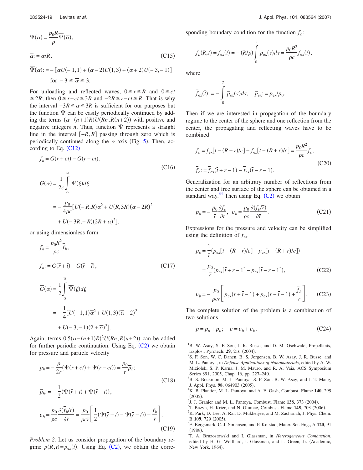$$
\Psi(\alpha) = \frac{p_0 R}{\rho} \overline{\Psi}(\overline{\alpha}),
$$
  

$$
\overline{\alpha} = \alpha/R,
$$
 (C15)

$$
\overline{\Psi}(\overline{\alpha}) = -[\overline{\alpha}U(-1,1) + (\overline{\alpha}-2)U(1,3) + (\overline{\alpha}+2)U(-3,-1)]
$$
  
for  $-3 \le \overline{\alpha} \le 3$ .

For unloading and reflected waves,  $0 \le r \le R$  and  $0 \le ct$  $\leq$ 2*R*; then 0 $\leq$ *r*+*ct*≤3*R* and −2*R* $\leq$ *r*−*ct*≤*R*. That is why the interval  $-3R \le \alpha \le 3R$  is sufficient for our purposes but the function  $\Psi$  can be easily periodically continued by adding the terms  $(\alpha - (n+1)R)U(Rn, R(n+2))$  with positive and negative integers  $n$ . Thus, function  $\Psi$  represents a straight line in the interval  $[-R, R]$  passing through zero which is periodically continued along the  $\alpha$  axis (Fig. [5](#page-10-0)). Then, according to Eq.  $(C12)$  $(C12)$  $(C12)$ 

$$
f_h = G(r + ct) - G(r - ct),
$$
\n(C16)  
\n
$$
G(\alpha) = \frac{1}{2c} \int_0^{\alpha} \Psi(\xi) d\xi
$$
\n
$$
= -\frac{p_0}{4\rho c} [U(-R, R)\alpha^2 + U(R, 3R)(\alpha - 2R)^2
$$
\n
$$
+ U(-3R, -R)(2R + \alpha)^2],
$$

or using dimensionless form

$$
f_h = \frac{p_0 R^2}{\rho c} \overline{f}_h,
$$
  
\n
$$
\overline{f}_h := \overline{G}(\overline{r} + \overline{t}) - \overline{G}(\overline{r} - \overline{t}),
$$
\n(C17)  
\n
$$
\overline{G}(\overline{\alpha}) = \frac{1}{2} \int_0^{\overline{\alpha}} \overline{\Psi}(\xi) d\xi
$$
  
\n
$$
= -\frac{1}{4} [U(-1, 1)\overline{\alpha}^2 + U(1, 3)(\overline{\alpha} - 2)^2
$$
  
\n
$$
+ U(-3, -1)(2 + \overline{\alpha})^2].
$$

Again, terms  $0.5(\alpha - (n+1)R)^2 U(Rn, R(n+2))$  can be added for further periodic continuation. Using Eq.  $(C2)$  $(C2)$  $(C2)$  we obtain for pressure and particle velocity

$$
p_h = -\frac{\rho}{2r} (\Psi(r+ct) + \Psi(r-ct)) = \frac{p_0}{\bar{r}} \overline{p}_h;
$$
\n(C18)\n
$$
\overline{p}_h := -\frac{1}{2} (\overline{\Psi}(\overline{r} + \overline{t}) + \overline{\Psi}(\overline{r} - \overline{t})),
$$
\n
$$
v_h = \frac{p_0}{\rho c} \frac{\partial (\overline{f}_h/\overline{r})}{\partial \overline{r}} = \frac{p_0}{\rho c \bar{r}} \left[ \frac{1}{2} (\overline{\Psi}(\overline{r} + \overline{t}) - \overline{\Psi}(\overline{r} - \overline{t})) - \frac{\overline{f}_h}{\bar{r}} \right].
$$
\n(C19)

*Problem 2.* Let us consider propagation of the boundary regime  $p(R, t) = p_{ex}(t)$ . Using Eq. ([C2](#page-18-2)), we obtain the corresponding boundary condition for the function  $f<sub>b</sub>$ :

$$
f_b(R,t) = f_{ex}(t) = -(R/\rho) \int_0^t p_{ex}(\tau) d\tau = \frac{p_0 R^2}{\rho c} \bar{f}_{ex}(\bar{t}),
$$

where

$$
\overline{f}_{\text{ex}}(\overline{t}) := -\int_{0}^{\overline{t}} \overline{p}_{\text{ex}}(\tau) d\tau, \quad \overline{p}_{\text{ex}} := p_{\text{ex}}/p_{0}.
$$

Then if we are interested in propagation of the boundary regime to the center of the sphere and one reflection from the center, the propagating and reflecting waves have to be combined

$$
f_b = f_{ex}[t - (R - r)/c] - f_{ex}[t - (R + r)/c] = \frac{p_0 R^2}{\rho c} \bar{f}_b,
$$
  

$$
\bar{f}_b := \bar{f}_{ex}(\bar{t} + \bar{r} - 1) - \bar{f}_{ex}(\bar{t} - \bar{r} - 1).
$$
 (C20)

Generalization for an arbitrary number of reflections from the center and free surface of the sphere can be obtained in a standard way.<sup>34</sup> Then using Eq.  $(C2)$  $(C2)$  $(C2)$  we obtain

$$
p_b = -\frac{p_0}{\bar{r}} \frac{\partial \bar{f}_b}{\partial \bar{t}}, \ \ v_b = \frac{p_0}{\rho c} \frac{\partial (\bar{f}_b / \bar{r})}{\partial \bar{r}}.
$$
 (C21)

Expressions for the pressure and velocity can be simplified using the definition of  $f_{\text{ex}}$ 

$$
p_b = \frac{1}{r} (p_{ex}[t - (R - r)/c] - p_{ex}[t - (R + r)/c])
$$
  
=  $\frac{p_0}{\bar{r}} (\bar{p}_{ex}[\bar{t} + \bar{r} - 1] - \bar{p}_{ex}[\bar{t} - \bar{r} - 1]),$  (C22)

$$
v_b = -\frac{p_0}{\rho c \bar{r}} \left[ \overline{p}_{\text{ex}} (\overline{r} + \overline{t} - 1) + \overline{p}_{\text{ex}} (\overline{r} - \overline{t} - 1) + \frac{\overline{f}_b}{\overline{r}} \right]. \tag{C23}
$$

The complete solution of the problem is a combination of two solutions

$$
p = p_h + p_b; \quad v = v_h + v_b. \tag{C24}
$$

<span id="page-20-0"></span><sup>1</sup>B. W. Asay, S. F. Son, J. R. Busse, and D. M. Oschwald, Propellants, Explos., Pyrotech. **29**, 216 (2004).

 ${}^{2}S$ . F. Son, W. C. Danen, B. S. Jorgensen, B. W. Asay, J. R. Busse, and M. L. Pantoya, in *Defense Applications of Nanomaterials*, edited by A. W. Miziolek, S. P. Karna, J. M. Mauro, and R. A. Vaia, ACS Symposium Series 891, 2005, Chap. 16, pp. 227–240.

<span id="page-20-3"></span><sup>3</sup>B. S. Bockmon, M. L. Pantoya, S. F. Son, B. W. Asay, and J. T. Mang, J. Appl. Phys. **98**, 064903 (2005).

- <span id="page-20-1"></span><sup>4</sup>K. B. Plantier, M. L. Pantoya, and A. E. Gash, Combust. Flame 140, 299  $(2005)$ .
- <span id="page-20-2"></span>(2005).<br><sup>5</sup>J. J. Granier and M. L. Pantoya, Combust. Flame **138**, 373 (2004).<br><sup>6</sup>T. Bazun, H. Krier, and N. Glumee, Combust. Flame **145**, 703 (20
- <span id="page-20-4"></span><sup>6</sup>T. Bazyn, H. Krier, and N. Glumac, Combust. Flame **145**, 703 (2006).
- <span id="page-20-5"></span> ${}^{7}$ K. Park, D. Lee, A. Rai, D. Mukherjee, and M. Zachariah, J. Phys. Chem.  $_{\rm B}^{\rm B}$  109, 729 (2005).
- <span id="page-20-6"></span>E. Bergsmark, C. J. Simensen, and P. Kofstad, Mater. Sci. Eng., A **120**, 91  $(1989).$
- <span id="page-20-7"></span>T. A. Bruzostowski and I. Glassman, in *Heterogeneous Combustion*, edited by H. G. Wolfhard, I. Glassman, and L. Green, Jr. (Academic, New York, 1964).